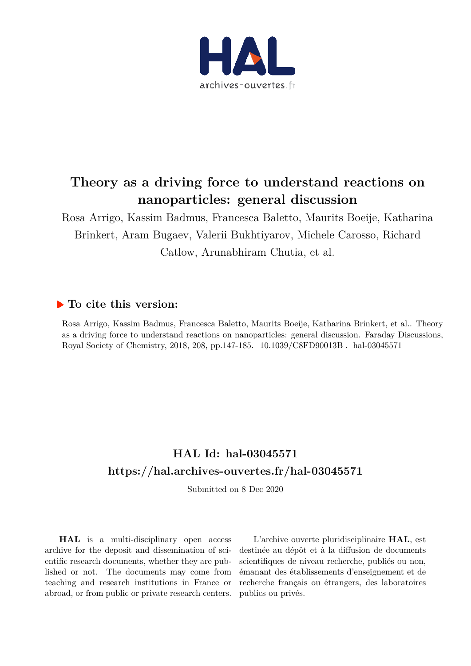

# **Theory as a driving force to understand reactions on nanoparticles: general discussion**

Rosa Arrigo, Kassim Badmus, Francesca Baletto, Maurits Boeije, Katharina Brinkert, Aram Bugaev, Valerii Bukhtiyarov, Michele Carosso, Richard Catlow, Arunabhiram Chutia, et al.

# **To cite this version:**

Rosa Arrigo, Kassim Badmus, Francesca Baletto, Maurits Boeije, Katharina Brinkert, et al.. Theory as a driving force to understand reactions on nanoparticles: general discussion. Faraday Discussions, Royal Society of Chemistry, 2018, 208, pp.147-185. 10.1039/C8FD90013B. hal-03045571

# **HAL Id: hal-03045571 https://hal.archives-ouvertes.fr/hal-03045571**

Submitted on 8 Dec 2020

**HAL** is a multi-disciplinary open access archive for the deposit and dissemination of scientific research documents, whether they are published or not. The documents may come from teaching and research institutions in France or abroad, or from public or private research centers.

L'archive ouverte pluridisciplinaire **HAL**, est destinée au dépôt et à la diffusion de documents scientifiques de niveau recherche, publiés ou non, émanant des établissements d'enseignement et de recherche français ou étrangers, des laboratoires publics ou privés.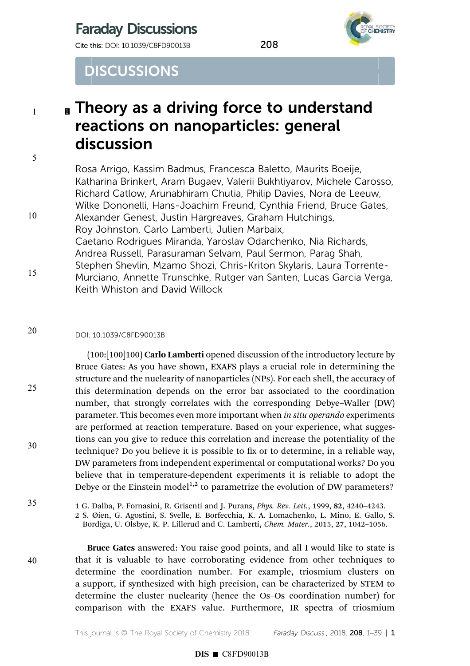# Faraday Discussions

**Cite this: DOI: 10.1039/C8FD90013B** 208



**DISCUSSIONS** 

# **I** Theory as a driving force to understand reactions on nanoparticles: general discussion

Rosa Arrigo, Kassim Badmus, Francesca Baletto, Maurits Boeije, Katharina Brinkert, Aram Bugaev, Valerii Bukhtiyarov, Michele Carosso, Richard Catlow, Arunabhiram Chutia, Philip Davies, Nora de Leeuw, Wilke Dononelli, Hans-Joachim Freund, Cynthia Friend, Bruce Gates, Alexander Genest, Justin Hargreaves, Graham Hutchings, Roy Johnston, Carlo Lamberti, Julien Marbaix, Caetano Rodrigues Miranda, Yaroslav Odarchenko, Nia Richards, Andrea Russell, Parasuraman Selvam, Paul Sermon, Parag Shah, Stephen Shevlin, Mzamo Shozi, Chris-Kriton Skylaris, Laura Torrente-Murciano, Annette Trunschke, Rutger van Santen, Lucas Garcia Verga, Keith Whiston and David Willock

### DOI: 10.1039/C8FD90013B 20

(100:[100]100) Carlo Lamberti opened discussion of the introductory lecture by Bruce Gates: As you have shown, EXAFS plays a crucial role in determining the structure and the nuclearity of nanoparticles (NPs). For each shell, the accuracy of this determination depends on the error bar associated to the coordination number, that strongly correlates with the corresponding Debye–Waller (DW) parameter. This becomes even more important when in situ operando experiments are performed at reaction temperature. Based on your experience, what suggestions can you give to reduce this correlation and increase the potentiality of the technique? Do you believe it is possible to fix or to determine, in a reliable way, DW parameters from independent experimental or computational works? Do you believe that in temperature-dependent experiments it is reliable to adopt the Debye or the Einstein model<sup>1,2</sup> to parametrize the evolution of DW parameters?

1 G. Dalba, P. Fornasini, R. Grisenti and J. Purans, Phys. Rev. Lett., 1999, 82, 4240–4243.

2 S. Øien, G. Agostini, S. Svelle, E. Borfecchia, K. A. Lomachenko, L. Mino, E. Gallo, S. Bordiga, U. Olsbye, K. P. Lillerud and C. Lamberti, Chem. Mater., 2015, 27, 1042–1056.

40

35

1

5

10

15

25

30

Bruce Gates answered: You raise good points, and all I would like to state is that it is valuable to have corroborating evidence from other techniques to determine the coordination number. For example, triosmium clusters on a support, if synthesized with high precision, can be characterized by STEM to determine the cluster nuclearity (hence the Os–Os coordination number) for comparison with the EXAFS value. Furthermore, IR spectra of triosmium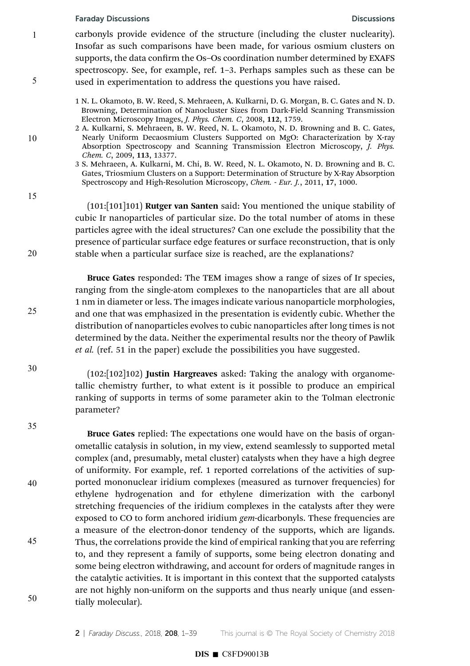1

5

10

15

20

25

30

35

40

45

50

carbonyls provide evidence of the structure (including the cluster nuclearity). Insofar as such comparisons have been made, for various osmium clusters on supports, the data confirm the Os-Os coordination number determined by EXAFS spectroscopy. See, for example, ref. 1–3. Perhaps samples such as these can be used in experimentation to address the questions you have raised.

1 N. L. Okamoto, B. W. Reed, S. Mehraeen, A. Kulkarni, D. G. Morgan, B. C. Gates and N. D. Browning, Determination of Nanocluster Sizes from Dark-Field Scanning Transmission Electron Microscopy Images, J. Phys. Chem. C, 2008, 112, 1759.

2 A. Kulkarni, S. Mehraeen, B. W. Reed, N. L. Okamoto, N. D. Browning and B. C. Gates, Nearly Uniform Decaosmium Clusters Supported on MgO: Characterization by X-ray Absorption Spectroscopy and Scanning Transmission Electron Microscopy, J. Phys. Chem. C, 2009, 113, 13377.

3 S. Mehraeen, A. Kulkarni, M. Chi, B. W. Reed, N. L. Okamoto, N. D. Browning and B. C. Gates, Triosmium Clusters on a Support: Determination of Structure by X-Ray Absorption Spectroscopy and High-Resolution Microscopy, Chem. - Eur. J., 2011, 17, 1000.

(101:[101]101) Rutger van Santen said: You mentioned the unique stability of cubic Ir nanoparticles of particular size. Do the total number of atoms in these particles agree with the ideal structures? Can one exclude the possibility that the presence of particular surface edge features or surface reconstruction, that is only stable when a particular surface size is reached, are the explanations?

Bruce Gates responded: The TEM images show a range of sizes of Ir species, ranging from the single-atom complexes to the nanoparticles that are all about 1 nm in diameter or less. The images indicate various nanoparticle morphologies, and one that was emphasized in the presentation is evidently cubic. Whether the distribution of nanoparticles evolves to cubic nanoparticles after long times is not determined by the data. Neither the experimental results nor the theory of Pawlik et al. (ref. 51 in the paper) exclude the possibilities you have suggested.

 $(102:[102]102)$  Justin Hargreaves asked: Taking the analogy with organometallic chemistry further, to what extent is it possible to produce an empirical ranking of supports in terms of some parameter akin to the Tolman electronic parameter?

Bruce Gates replied: The expectations one would have on the basis of organometallic catalysis in solution, in my view, extend seamlessly to supported metal complex (and, presumably, metal cluster) catalysts when they have a high degree of uniformity. For example, ref. 1 reported correlations of the activities of supported mononuclear iridium complexes (measured as turnover frequencies) for ethylene hydrogenation and for ethylene dimerization with the carbonyl stretching frequencies of the iridium complexes in the catalysts after they were exposed to CO to form anchored iridium *gem*-dicarbonyls. These frequencies are a measure of the electron-donor tendency of the supports, which are ligands. Thus, the correlations provide the kind of empirical ranking that you are referring to, and they represent a family of supports, some being electron donating and some being electron withdrawing, and account for orders of magnitude ranges in the catalytic activities. It is important in this context that the supported catalysts are not highly non-uniform on the supports and thus nearly unique (and essentially molecular).

2 | Faraday Discuss., 2018, 208, 1-39 This journal is © The Royal Society of Chemistry 2018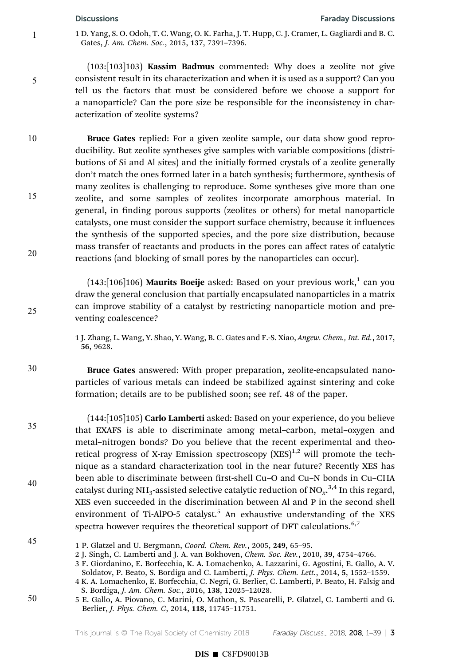## Discussions Faraday Discussions

1

5

1 D. Yang, S. O. Odoh, T. C. Wang, O. K. Farha, J. T. Hupp, C. J. Cramer, L. Gagliardi and B. C. Gates, J. Am. Chem. Soc., 2015, 137, 7391–7396.

(103:[103]103) Kassim Badmus commented: Why does a zeolite not give consistent result in its characterization and when it is used as a support? Can you tell us the factors that must be considered before we choose a support for a nanoparticle? Can the pore size be responsible for the inconsistency in characterization of zeolite systems?

Bruce Gates replied: For a given zeolite sample, our data show good reproducibility. But zeolite syntheses give samples with variable compositions (distributions of Si and Al sites) and the initially formed crystals of a zeolite generally don't match the ones formed later in a batch synthesis; furthermore, synthesis of many zeolites is challenging to reproduce. Some syntheses give more than one zeolite, and some samples of zeolites incorporate amorphous material. In general, in finding porous supports (zeolites or others) for metal nanoparticle catalysts, one must consider the support surface chemistry, because it influences the synthesis of the supported species, and the pore size distribution, because mass transfer of reactants and products in the pores can affect rates of catalytic reactions (and blocking of small pores by the nanoparticles can occur). 10 15 20

> $(143:[106]106)$  Maurits Boeije asked: Based on your previous work, $^{1}$  can you draw the general conclusion that partially encapsulated nanoparticles in a matrix can improve stability of a catalyst by restricting nanoparticle motion and preventing coalescence?

> 1 J. Zhang, L. Wang, Y. Shao, Y. Wang, B. C. Gates and F.-S. Xiao, Angew. Chem., Int. Ed., 2017, 56, 9628.

Bruce Gates answered: With proper preparation, zeolite-encapsulated nanoparticles of various metals can indeed be stabilized against sintering and coke formation; details are to be published soon; see ref. 48 of the paper.

(144:[105]105) Carlo Lamberti asked: Based on your experience, do you believe that EXAFS is able to discriminate among metal–carbon, metal–oxygen and metal–nitrogen bonds? Do you believe that the recent experimental and theoretical progress of X-ray Emission spectroscopy  $(XES)^{1,2}$  will promote the technique as a standard characterization tool in the near future? Recently XES has been able to discriminate between first-shell Cu-O and Cu-N bonds in Cu-CHA catalyst during NH<sub>3</sub>-assisted selective catalytic reduction of NO $_{\rm x}^{3,4}$  In this regard, XES even succeeded in the discrimination between Al and P in the second shell environment of Ti-AlPO-5 catalyst.<sup>5</sup> An exhaustive understanding of the XES spectra however requires the theoretical support of DFT calculations.  $6,7$ 

50

25

30

35

40

<sup>45</sup>

<sup>1</sup> P. Glatzel and U. Bergmann, Coord. Chem. Rev., 2005, 249, 65–95.

<sup>2</sup> J. Singh, C. Lamberti and J. A. van Bokhoven, Chem. Soc. Rev., 2010, 39, 4754–4766.

<sup>3</sup> F. Giordanino, E. Borfecchia, K. A. Lomachenko, A. Lazzarini, G. Agostini, E. Gallo, A. V. Soldatov, P. Beato, S. Bordiga and C. Lamberti, J. Phys. Chem. Lett., 2014, 5, 1552–1559.

<sup>4</sup> K. A. Lomachenko, E. Borfecchia, C. Negri, G. Berlier, C. Lamberti, P. Beato, H. Falsig and S. Bordiga, J. Am. Chem. Soc., 2016, 138, 12025–12028.

<sup>5</sup> E. Gallo, A. Piovano, C. Marini, O. Mathon, S. Pascarelli, P. Glatzel, C. Lamberti and G. Berlier, J. Phys. Chem. C, 2014, 118, 11745–11751.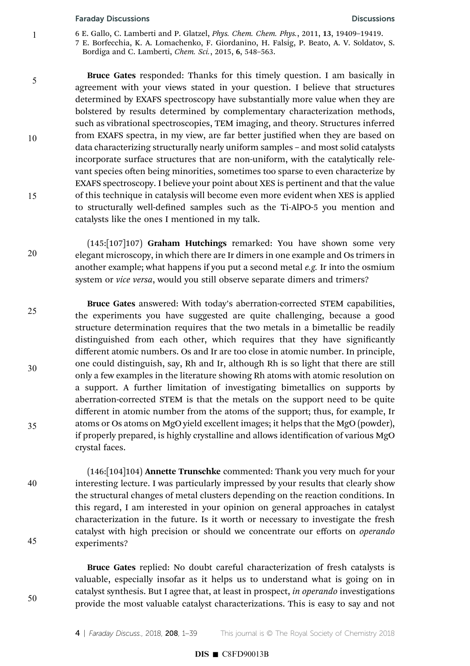1

5

10

15

20

50

- 6 E. Gallo, C. Lamberti and P. Glatzel, Phys. Chem. Chem. Phys., 2011, 13, 19409–19419.
- 7 E. Borfecchia, K. A. Lomachenko, F. Giordanino, H. Falsig, P. Beato, A. V. Soldatov, S. Bordiga and C. Lamberti, Chem. Sci., 2015, 6, 548–563.

Bruce Gates responded: Thanks for this timely question. I am basically in agreement with your views stated in your question. I believe that structures determined by EXAFS spectroscopy have substantially more value when they are bolstered by results determined by complementary characterization methods, such as vibrational spectroscopies, TEM imaging, and theory. Structures inferred from EXAFS spectra, in my view, are far better justified when they are based on data characterizing structurally nearly uniform samples – and most solid catalysts incorporate surface structures that are non-uniform, with the catalytically relevant species often being minorities, sometimes too sparse to even characterize by EXAFS spectroscopy. I believe your point about XES is pertinent and that the value of this technique in catalysis will become even more evident when XES is applied to structurally well-defined samples such as the Ti-AlPO-5 you mention and catalysts like the ones I mentioned in my talk.

(145:[107]107) Graham Hutchings remarked: You have shown some very elegant microscopy, in which there are Ir dimers in one example and Os trimers in another example; what happens if you put a second metal e.g. Ir into the osmium system or vice versa, would you still observe separate dimers and trimers?

Bruce Gates answered: With today's aberration-corrected STEM capabilities, the experiments you have suggested are quite challenging, because a good structure determination requires that the two metals in a bimetallic be readily distinguished from each other, which requires that they have significantly different atomic numbers. Os and Ir are too close in atomic number. In principle, one could distinguish, say, Rh and Ir, although Rh is so light that there are still only a few examples in the literature showing Rh atoms with atomic resolution on a support. A further limitation of investigating bimetallics on supports by aberration-corrected STEM is that the metals on the support need to be quite different in atomic number from the atoms of the support; thus, for example, Ir atoms or Os atoms on MgO yield excellent images; it helps that the MgO (powder), if properly prepared, is highly crystalline and allows identification of various MgO crystal faces. 25 30 35

(146:[104]104) Annette Trunschke commented: Thank you very much for your interesting lecture. I was particularly impressed by your results that clearly show the structural changes of metal clusters depending on the reaction conditions. In this regard, I am interested in your opinion on general approaches in catalyst characterization in the future. Is it worth or necessary to investigate the fresh catalyst with high precision or should we concentrate our efforts on operando experiments? 40 45

> Bruce Gates replied: No doubt careful characterization of fresh catalysts is valuable, especially insofar as it helps us to understand what is going on in catalyst synthesis. But I agree that, at least in prospect, in operando investigations provide the most valuable catalyst characterizations. This is easy to say and not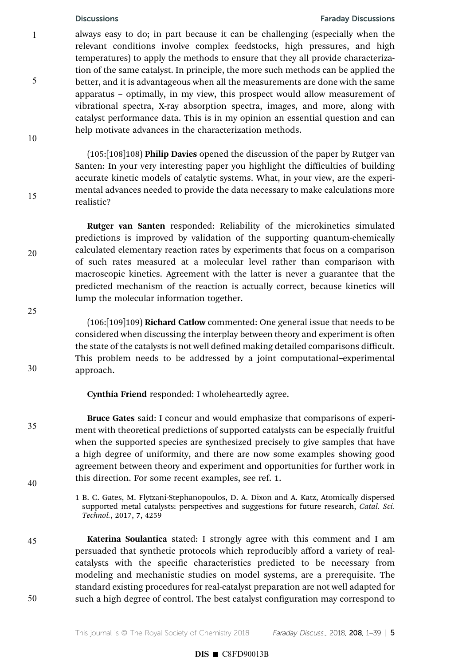5

10

15

20

25

30

35

40

45

50

## Discussions Faraday Discussions

always easy to do; in part because it can be challenging (especially when the relevant conditions involve complex feedstocks, high pressures, and high temperatures) to apply the methods to ensure that they all provide characterization of the same catalyst. In principle, the more such methods can be applied the better, and it is advantageous when all the measurements are done with the same apparatus – optimally, in my view, this prospect would allow measurement of vibrational spectra, X-ray absorption spectra, images, and more, along with catalyst performance data. This is in my opinion an essential question and can help motivate advances in the characterization methods.

(105:[108]108) Philip Davies opened the discussion of the paper by Rutger van Santen: In your very interesting paper you highlight the difficulties of building accurate kinetic models of catalytic systems. What, in your view, are the experimental advances needed to provide the data necessary to make calculations more realistic?

Rutger van Santen responded: Reliability of the microkinetics simulated predictions is improved by validation of the supporting quantum-chemically calculated elementary reaction rates by experiments that focus on a comparison of such rates measured at a molecular level rather than comparison with macroscopic kinetics. Agreement with the latter is never a guarantee that the predicted mechanism of the reaction is actually correct, because kinetics will lump the molecular information together.

(106:[109]109) Richard Catlow commented: One general issue that needs to be considered when discussing the interplay between theory and experiment is often the state of the catalysts is not well defined making detailed comparisons difficult. This problem needs to be addressed by a joint computational–experimental approach.

Cynthia Friend responded: I wholeheartedly agree.

Bruce Gates said: I concur and would emphasize that comparisons of experiment with theoretical predictions of supported catalysts can be especially fruitful when the supported species are synthesized precisely to give samples that have a high degree of uniformity, and there are now some examples showing good agreement between theory and experiment and opportunities for further work in this direction. For some recent examples, see ref. 1.

1 B. C. Gates, M. Flytzani-Stephanopoulos, D. A. Dixon and A. Katz, Atomically dispersed supported metal catalysts: perspectives and suggestions for future research, Catal. Sci. Technol., 2017, 7, 4259

Katerina Soulantica stated: I strongly agree with this comment and I am persuaded that synthetic protocols which reproducibly afford a variety of realcatalysts with the specific characteristics predicted to be necessary from modeling and mechanistic studies on model systems, are a prerequisite. The standard existing procedures for real-catalyst preparation are not well adapted for such a high degree of control. The best catalyst configuration may correspond to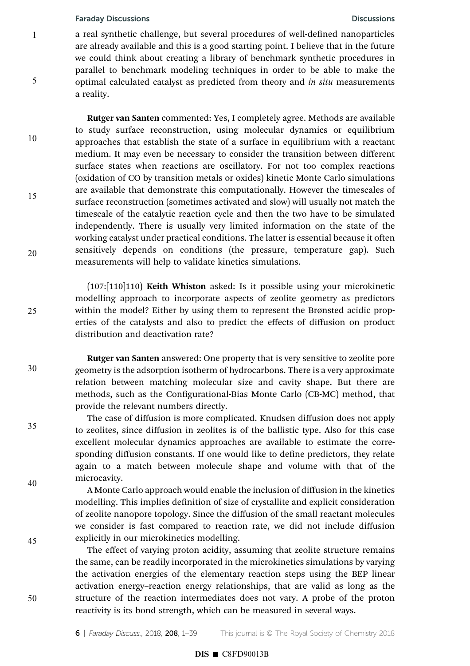1

5

10

15

20

25

30

35

40

45

50

a real synthetic challenge, but several procedures of well-defined nanoparticles are already available and this is a good starting point. I believe that in the future we could think about creating a library of benchmark synthetic procedures in parallel to benchmark modeling techniques in order to be able to make the optimal calculated catalyst as predicted from theory and in situ measurements a reality.

Rutger van Santen commented: Yes, I completely agree. Methods are available to study surface reconstruction, using molecular dynamics or equilibrium approaches that establish the state of a surface in equilibrium with a reactant medium. It may even be necessary to consider the transition between different surface states when reactions are oscillatory. For not too complex reactions (oxidation of CO by transition metals or oxides) kinetic Monte Carlo simulations are available that demonstrate this computationally. However the timescales of surface reconstruction (sometimes activated and slow) will usually not match the timescale of the catalytic reaction cycle and then the two have to be simulated independently. There is usually very limited information on the state of the working catalyst under practical conditions. The latter is essential because it often sensitively depends on conditions (the pressure, temperature gap). Such measurements will help to validate kinetics simulations.

(107:[110]110) Keith Whiston asked: Is it possible using your microkinetic modelling approach to incorporate aspects of zeolite geometry as predictors within the model? Either by using them to represent the Brønsted acidic properties of the catalysts and also to predict the effects of diffusion on product distribution and deactivation rate?

Rutger van Santen answered: One property that is very sensitive to zeolite pore geometry is the adsorption isotherm of hydrocarbons. There is a very approximate relation between matching molecular size and cavity shape. But there are methods, such as the Configurational-Bias Monte Carlo (CB-MC) method, that provide the relevant numbers directly.

The case of diffusion is more complicated. Knudsen diffusion does not apply to zeolites, since diffusion in zeolites is of the ballistic type. Also for this case excellent molecular dynamics approaches are available to estimate the corresponding diffusion constants. If one would like to define predictors, they relate again to a match between molecule shape and volume with that of the microcavity.

A Monte Carlo approach would enable the inclusion of diffusion in the kinetics modelling. This implies definition of size of crystallite and explicit consideration of zeolite nanopore topology. Since the diffusion of the small reactant molecules we consider is fast compared to reaction rate, we did not include diffusion explicitly in our microkinetics modelling.

The effect of varying proton acidity, assuming that zeolite structure remains the same, can be readily incorporated in the microkinetics simulations by varying the activation energies of the elementary reaction steps using the BEP linear activation energy–reaction energy relationships, that are valid as long as the structure of the reaction intermediates does not vary. A probe of the proton reactivity is its bond strength, which can be measured in several ways.

6 | Faraday Discuss., 2018, 208, 1-39 This journal is © The Royal Society of Chemistry 2018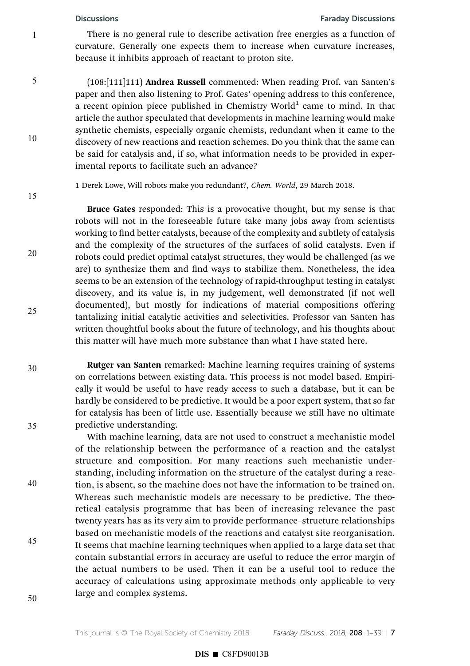5

10

15

20

25

### Discussions Faraday Discussions

There is no general rule to describe activation free energies as a function of curvature. Generally one expects them to increase when curvature increases, because it inhibits approach of reactant to proton site.

(108:[111]111) Andrea Russell commented: When reading Prof. van Santen's paper and then also listening to Prof. Gates' opening address to this conference, a recent opinion piece published in Chemistry World<sup>1</sup> came to mind. In that article the author speculated that developments in machine learning would make synthetic chemists, especially organic chemists, redundant when it came to the discovery of new reactions and reaction schemes. Do you think that the same can be said for catalysis and, if so, what information needs to be provided in experimental reports to facilitate such an advance?

1 Derek Lowe, Will robots make you redundant?, Chem. World, 29 March 2018.

Bruce Gates responded: This is a provocative thought, but my sense is that robots will not in the foreseeable future take many jobs away from scientists working to find better catalysts, because of the complexity and subtlety of catalysis and the complexity of the structures of the surfaces of solid catalysts. Even if robots could predict optimal catalyst structures, they would be challenged (as we are) to synthesize them and find ways to stabilize them. Nonetheless, the idea seems to be an extension of the technology of rapid-throughput testing in catalyst discovery, and its value is, in my judgement, well demonstrated (if not well documented), but mostly for indications of material compositions offering tantalizing initial catalytic activities and selectivities. Professor van Santen has written thoughtful books about the future of technology, and his thoughts about this matter will have much more substance than what I have stated here.

30

35

40

45

Rutger van Santen remarked: Machine learning requires training of systems on correlations between existing data. This process is not model based. Empirically it would be useful to have ready access to such a database, but it can be hardly be considered to be predictive. It would be a poor expert system, that so far for catalysis has been of little use. Essentially because we still have no ultimate predictive understanding.

With machine learning, data are not used to construct a mechanistic model of the relationship between the performance of a reaction and the catalyst structure and composition. For many reactions such mechanistic understanding, including information on the structure of the catalyst during a reaction, is absent, so the machine does not have the information to be trained on. Whereas such mechanistic models are necessary to be predictive. The theoretical catalysis programme that has been of increasing relevance the past twenty years has as its very aim to provide performance–structure relationships based on mechanistic models of the reactions and catalyst site reorganisation. It seems that machine learning techniques when applied to a large data set that contain substantial errors in accuracy are useful to reduce the error margin of the actual numbers to be used. Then it can be a useful tool to reduce the accuracy of calculations using approximate methods only applicable to very large and complex systems.

50

This journal is  $\odot$  The Royal Society of Chemistry 2018 Faraday Discuss., 2018, 208, 1–39 | 7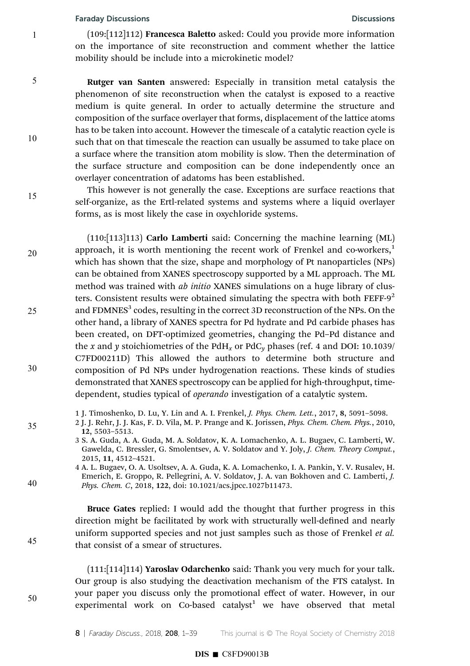1

5

10

15

20

25

30

35

40

45

50

(109:[112]112) Francesca Baletto asked: Could you provide more information on the importance of site reconstruction and comment whether the lattice mobility should be include into a microkinetic model?

Rutger van Santen answered: Especially in transition metal catalysis the phenomenon of site reconstruction when the catalyst is exposed to a reactive medium is quite general. In order to actually determine the structure and composition of the surface overlayer that forms, displacement of the lattice atoms has to be taken into account. However the timescale of a catalytic reaction cycle is such that on that timescale the reaction can usually be assumed to take place on a surface where the transition atom mobility is slow. Then the determination of the surface structure and composition can be done independently once an overlayer concentration of adatoms has been established.

This however is not generally the case. Exceptions are surface reactions that self-organize, as the Ertl-related systems and systems where a liquid overlayer forms, as is most likely the case in oxychloride systems.

(110:[113]113) Carlo Lamberti said: Concerning the machine learning (ML) approach, it is worth mentioning the recent work of Frenkel and co-workers, $<sup>1</sup>$ </sup> which has shown that the size, shape and morphology of Pt nanoparticles (NPs) can be obtained from XANES spectroscopy supported by a ML approach. The ML method was trained with *ab initio* XANES simulations on a huge library of clusters. Consistent results were obtained simulating the spectra with both  $FEFF-9<sup>2</sup>$ and FDMNES $^3$  codes, resulting in the correct 3D reconstruction of the NPs. On the other hand, a library of XANES spectra for Pd hydrate and Pd carbide phases has been created, on DFT-optimized geometries, changing the Pd–Pd distance and the x and y stoichiometries of the PdH<sub>x</sub> or PdC<sub>y</sub> phases (ref. 4 and DOI: 10.1039/ C7FD00211D) This allowed the authors to determine both structure and composition of Pd NPs under hydrogenation reactions. These kinds of studies demonstrated that XANES spectroscopy can be applied for high-throughput, timedependent, studies typical of *operando* investigation of a catalytic system.

1 J. Timoshenko, D. Lu, Y. Lin and A. I. Frenkel, J. Phys. Chem. Lett., 2017, 8, 5091–5098.

- 2 J. J. Rehr, J. J. Kas, F. D. Vila, M. P. Prange and K. Jorissen, Phys. Chem. Chem. Phys., 2010, 12, 5503–5513.
	- 3 S. A. Guda, A. A. Guda, M. A. Soldatov, K. A. Lomachenko, A. L. Bugaev, C. Lamberti, W. Gawelda, C. Bressler, G. Smolentsev, A. V. Soldatov and Y. Joly, J. Chem. Theory Comput., 2015, 11, 4512–4521.
- 4 A. L. Bugaev, O. A. Usoltsev, A. A. Guda, K. A. Lomachenko, I. A. Pankin, Y. V. Rusalev, H. Emerich, E. Groppo, R. Pellegrini, A. V. Soldatov, J. A. van Bokhoven and C. Lamberti, J. Phys. Chem. C, 2018, 122, doi: 10.1021/acs.jpcc.1027b11473.

Bruce Gates replied: I would add the thought that further progress in this direction might be facilitated by work with structurally well-defined and nearly uniform supported species and not just samples such as those of Frenkel et al. that consist of a smear of structures.

(111:[114]114) Yaroslav Odarchenko said: Thank you very much for your talk. Our group is also studying the deactivation mechanism of the FTS catalyst. In your paper you discuss only the promotional effect of water. However, in our experimental work on Co-based catalyst<sup>1</sup> we have observed that metal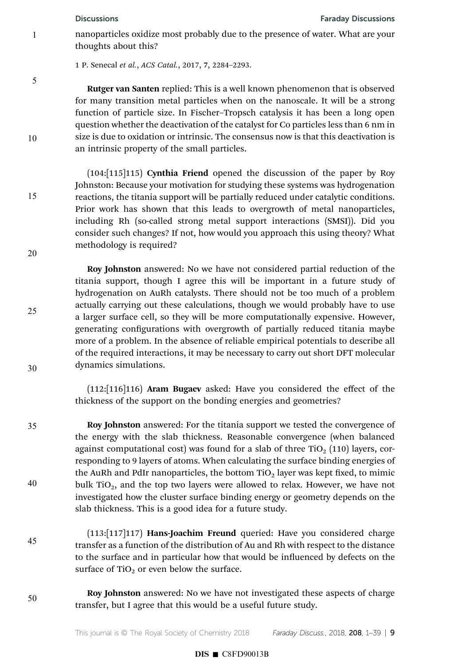nanoparticles oxidize most probably due to the presence of water. What are your thoughts about this?

1 P. Senecal et al., ACS Catal., 2017, 7, 2284–2293.

5

10

15

20

25

30

35

40

1

Rutger van Santen replied: This is a well known phenomenon that is observed for many transition metal particles when on the nanoscale. It will be a strong function of particle size. In Fischer–Tropsch catalysis it has been a long open question whether the deactivation of the catalyst for Co particles less than 6 nm in size is due to oxidation or intrinsic. The consensus now is that this deactivation is an intrinsic property of the small particles.

(104:[115]115) Cynthia Friend opened the discussion of the paper by Roy Johnston: Because your motivation for studying these systems was hydrogenation reactions, the titania support will be partially reduced under catalytic conditions. Prior work has shown that this leads to overgrowth of metal nanoparticles, including Rh (so-called strong metal support interactions (SMSI)). Did you consider such changes? If not, how would you approach this using theory? What methodology is required?

Roy Johnston answered: No we have not considered partial reduction of the titania support, though I agree this will be important in a future study of hydrogenation on AuRh catalysts. There should not be too much of a problem actually carrying out these calculations, though we would probably have to use a larger surface cell, so they will be more computationally expensive. However, generating configurations with overgrowth of partially reduced titania maybe more of a problem. In the absence of reliable empirical potentials to describe all of the required interactions, it may be necessary to carry out short DFT molecular dynamics simulations.

(112:[116]116) Aram Bugaev asked: Have you considered the effect of the thickness of the support on the bonding energies and geometries?

Roy Johnston answered: For the titania support we tested the convergence of the energy with the slab thickness. Reasonable convergence (when balanced against computational cost) was found for a slab of three  $TiO<sub>2</sub> (110)$  layers, corresponding to 9 layers of atoms. When calculating the surface binding energies of the AuRh and PdIr nanoparticles, the bottom  $TiO<sub>2</sub>$  layer was kept fixed, to mimic bulk  $TiO<sub>2</sub>$ , and the top two layers were allowed to relax. However, we have not investigated how the cluster surface binding energy or geometry depends on the slab thickness. This is a good idea for a future study.

45

(113:[117]117) Hans-Joachim Freund queried: Have you considered charge transfer as a function of the distribution of Au and Rh with respect to the distance to the surface and in particular how that would be influenced by defects on the surface of  $TiO<sub>2</sub>$  or even below the surface.

50

Roy Johnston answered: No we have not investigated these aspects of charge transfer, but I agree that this would be a useful future study.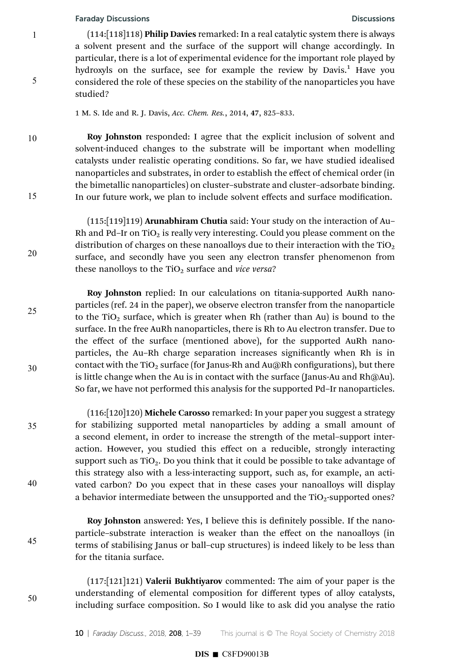1

5

10

15

20

25

30

35

40

45

50

(114:[118]118) Philip Davies remarked: In a real catalytic system there is always a solvent present and the surface of the support will change accordingly. In particular, there is a lot of experimental evidence for the important role played by hydroxyls on the surface, see for example the review by Davis.<sup>1</sup> Have you considered the role of these species on the stability of the nanoparticles you have studied?

1 M. S. Ide and R. J. Davis, Acc. Chem. Res., 2014, 47, 825–833.

Roy Johnston responded: I agree that the explicit inclusion of solvent and solvent-induced changes to the substrate will be important when modelling catalysts under realistic operating conditions. So far, we have studied idealised nanoparticles and substrates, in order to establish the effect of chemical order (in the bimetallic nanoparticles) on cluster–substrate and cluster–adsorbate binding. In our future work, we plan to include solvent effects and surface modification.

(115:[119]119) Arunabhiram Chutia said: Your study on the interaction of Au– Rh and Pd–Ir on  $TiO<sub>2</sub>$  is really very interesting. Could you please comment on the distribution of charges on these nanoalloys due to their interaction with the  $TiO<sub>2</sub>$ surface, and secondly have you seen any electron transfer phenomenon from these nanolloys to the  $TiO<sub>2</sub>$  surface and vice versa?

Roy Johnston replied: In our calculations on titania-supported AuRh nanoparticles (ref. 24 in the paper), we observe electron transfer from the nanoparticle to the TiO<sub>2</sub> surface, which is greater when Rh (rather than Au) is bound to the surface. In the free AuRh nanoparticles, there is Rh to Au electron transfer. Due to the effect of the surface (mentioned above), for the supported AuRh nanoparticles, the Au-Rh charge separation increases significantly when Rh is in contact with the TiO<sub>2</sub> surface (for Janus-Rh and Au@Rh configurations), but there is little change when the Au is in contact with the surface (Janus-Au and Rh@Au). So far, we have not performed this analysis for the supported Pd–Ir nanoparticles.

(116:[120]120) Michele Carosso remarked: In your paper you suggest a strategy for stabilizing supported metal nanoparticles by adding a small amount of a second element, in order to increase the strength of the metal–support interaction. However, you studied this effect on a reducible, strongly interacting support such as  $TiO<sub>2</sub>$ . Do you think that it could be possible to take advantage of this strategy also with a less-interacting support, such as, for example, an activated carbon? Do you expect that in these cases your nanoalloys will display a behavior intermediate between the unsupported and the  $TiO<sub>2</sub>$ -supported ones?

Roy Johnston answered: Yes, I believe this is definitely possible. If the nanoparticle–substrate interaction is weaker than the effect on the nanoalloys (in terms of stabilising Janus or ball–cup structures) is indeed likely to be less than for the titania surface.

 $(117:[121]121)$  Valerii Bukhtiyarov commented: The aim of your paper is the understanding of elemental composition for different types of alloy catalysts, including surface composition. So I would like to ask did you analyse the ratio

# $DIS \blacksquare$  C8FD90013B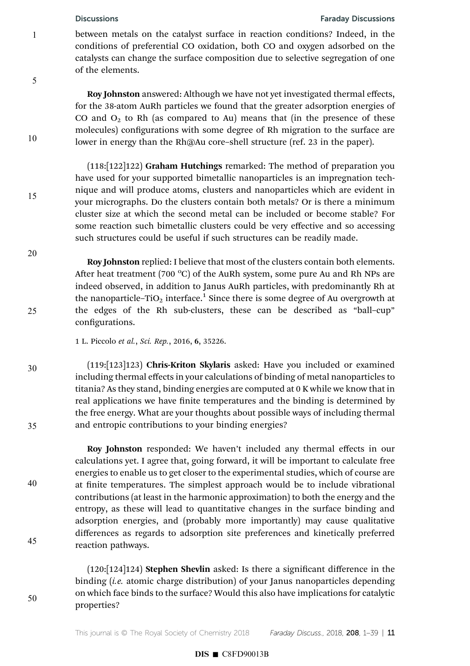5

10

15

20

25

30

35

40

45

50

### Discussions Faraday Discussions

between metals on the catalyst surface in reaction conditions? Indeed, in the conditions of preferential CO oxidation, both CO and oxygen adsorbed on the catalysts can change the surface composition due to selective segregation of one of the elements.

Roy Johnston answered: Although we have not yet investigated thermal effects, for the 38-atom AuRh particles we found that the greater adsorption energies of CO and  $O_2$  to Rh (as compared to Au) means that (in the presence of these molecules) configurations with some degree of Rh migration to the surface are lower in energy than the Rh@Au core–shell structure (ref. 23 in the paper).

(118:[122]122) Graham Hutchings remarked: The method of preparation you have used for your supported bimetallic nanoparticles is an impregnation technique and will produce atoms, clusters and nanoparticles which are evident in your micrographs. Do the clusters contain both metals? Or is there a minimum cluster size at which the second metal can be included or become stable? For some reaction such bimetallic clusters could be very effective and so accessing such structures could be useful if such structures can be readily made.

Roy Johnston replied: I believe that most of the clusters contain both elements. After heat treatment (700 $^{\circ}$ C) of the AuRh system, some pure Au and Rh NPs are indeed observed, in addition to Janus AuRh particles, with predominantly Rh at the nanoparticle–TiO<sub>2</sub> interface.<sup>1</sup> Since there is some degree of Au overgrowth at the edges of the Rh sub-clusters, these can be described as "ball–cup" configurations.

1 L. Piccolo et al., Sci. Rep., 2016, 6, 35226.

(119:[123]123) Chris-Kriton Skylaris asked: Have you included or examined including thermal effects in your calculations of binding of metal nanoparticles to titania? As they stand, binding energies are computed at 0 K while we know that in real applications we have finite temperatures and the binding is determined by the free energy. What are your thoughts about possible ways of including thermal and entropic contributions to your binding energies?

Roy Johnston responded: We haven't included any thermal effects in our calculations yet. I agree that, going forward, it will be important to calculate free energies to enable us to get closer to the experimental studies, which of course are at finite temperatures. The simplest approach would be to include vibrational contributions (at least in the harmonic approximation) to both the energy and the entropy, as these will lead to quantitative changes in the surface binding and adsorption energies, and (probably more importantly) may cause qualitative differences as regards to adsorption site preferences and kinetically preferred reaction pathways.

(120:[124]124) Stephen Shevlin asked: Is there a signicant difference in the binding *(i.e.* atomic charge distribution) of your Janus nanoparticles depending on which face binds to the surface? Would this also have implications for catalytic properties?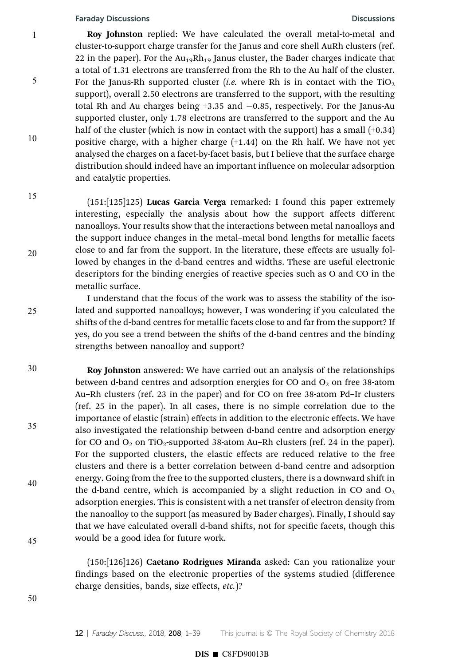1

5

10

15

20

25

Roy Johnston replied: We have calculated the overall metal-to-metal and cluster-to-support charge transfer for the Janus and core shell AuRh clusters (ref. 22 in the paper). For the  $Au_{19}Rh_{19}$  Janus cluster, the Bader charges indicate that a total of 1.31 electrons are transferred from the Rh to the Au half of the cluster. For the Janus-Rh supported cluster (*i.e.* where Rh is in contact with the  $TiO<sub>2</sub>$ support), overall 2.50 electrons are transferred to the support, with the resulting total Rh and Au charges being  $+3.35$  and  $-0.85$ , respectively. For the Janus-Au supported cluster, only 1.78 electrons are transferred to the support and the Au half of the cluster (which is now in contact with the support) has a small  $(+0.34)$ positive charge, with a higher charge (+1.44) on the Rh half. We have not yet analysed the charges on a facet-by-facet basis, but I believe that the surface charge distribution should indeed have an important influence on molecular adsorption and catalytic properties.

(151:[125]125) Lucas Garcia Verga remarked: I found this paper extremely interesting, especially the analysis about how the support affects different nanoalloys. Your results show that the interactions between metal nanoalloys and the support induce changes in the metal–metal bond lengths for metallic facets close to and far from the support. In the literature, these effects are usually followed by changes in the d-band centres and widths. These are useful electronic descriptors for the binding energies of reactive species such as O and CO in the metallic surface.

I understand that the focus of the work was to assess the stability of the isolated and supported nanoalloys; however, I was wondering if you calculated the shifts of the d-band centres for metallic facets close to and far from the support? If yes, do you see a trend between the shifts of the d-band centres and the binding strengths between nanoalloy and support?

Roy Johnston answered: We have carried out an analysis of the relationships between d-band centres and adsorption energies for CO and  $O_2$  on free 38-atom Au–Rh clusters (ref. 23 in the paper) and for CO on free 38-atom Pd–Ir clusters (ref. 25 in the paper). In all cases, there is no simple correlation due to the importance of elastic (strain) effects in addition to the electronic effects. We have also investigated the relationship between d-band centre and adsorption energy for CO and  $O_2$  on TiO<sub>2</sub>-supported 38-atom Au–Rh clusters (ref. 24 in the paper). For the supported clusters, the elastic effects are reduced relative to the free clusters and there is a better correlation between d-band centre and adsorption energy. Going from the free to the supported clusters, there is a downward shift in the d-band centre, which is accompanied by a slight reduction in CO and  $O_2$ adsorption energies. This is consistent with a net transfer of electron density from the nanoalloy to the support (as measured by Bader charges). Finally, I should say that we have calculated overall d-band shifts, not for specific facets, though this would be a good idea for future work. 30 35 40 45

> (150:[126]126) Caetano Rodrigues Miranda asked: Can you rationalize your ndings based on the electronic properties of the systems studied (difference charge densities, bands, size effects, etc.)?

50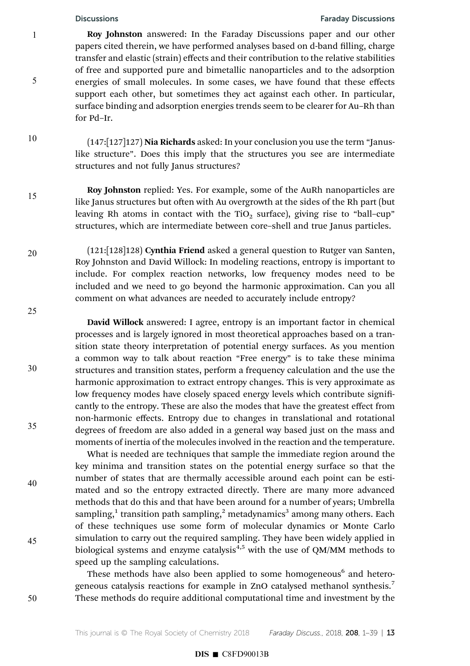## Discussions Faraday Discussions

Roy Johnston answered: In the Faraday Discussions paper and our other papers cited therein, we have performed analyses based on d-band filling, charge transfer and elastic (strain) effects and their contribution to the relative stabilities of free and supported pure and bimetallic nanoparticles and to the adsorption energies of small molecules. In some cases, we have found that these effects support each other, but sometimes they act against each other. In particular, surface binding and adsorption energies trends seem to be clearer for Au–Rh than for Pd–Ir.

(147:[127]127) Nia Richards asked: In your conclusion you use the term "Januslike structure". Does this imply that the structures you see are intermediate structures and not fully Janus structures?

Roy Johnston replied: Yes. For example, some of the AuRh nanoparticles are like Janus structures but often with Au overgrowth at the sides of the Rh part (but leaving Rh atoms in contact with the TiO<sub>2</sub> surface), giving rise to "ball-cup" structures, which are intermediate between core–shell and true Janus particles.

(121:[128]128) Cynthia Friend asked a general question to Rutger van Santen, Roy Johnston and David Willock: In modeling reactions, entropy is important to include. For complex reaction networks, low frequency modes need to be included and we need to go beyond the harmonic approximation. Can you all comment on what advances are needed to accurately include entropy?

25

30

35

40

45

50

1

5

10

15

20

David Willock answered: I agree, entropy is an important factor in chemical processes and is largely ignored in most theoretical approaches based on a transition state theory interpretation of potential energy surfaces. As you mention a common way to talk about reaction "Free energy" is to take these minima structures and transition states, perform a frequency calculation and the use the harmonic approximation to extract entropy changes. This is very approximate as low frequency modes have closely spaced energy levels which contribute significantly to the entropy. These are also the modes that have the greatest effect from non-harmonic effects. Entropy due to changes in translational and rotational degrees of freedom are also added in a general way based just on the mass and moments of inertia of the molecules involved in the reaction and the temperature.

What is needed are techniques that sample the immediate region around the key minima and transition states on the potential energy surface so that the number of states that are thermally accessible around each point can be estimated and so the entropy extracted directly. There are many more advanced methods that do this and that have been around for a number of years; Umbrella sampling,<sup>1</sup> transition path sampling,<sup>2</sup> metadynamics<sup>3</sup> among many others. Each of these techniques use some form of molecular dynamics or Monte Carlo simulation to carry out the required sampling. They have been widely applied in biological systems and enzyme catalysis $4,5$  with the use of QM/MM methods to speed up the sampling calculations.

These methods have also been applied to some homogeneous<sup>6</sup> and heterogeneous catalysis reactions for example in ZnO catalysed methanol synthesis.<sup>7</sup> These methods do require additional computational time and investment by the

This journal is  $\circ$  The Royal Society of Chemistry 2018 Faraday Discuss., 2018, 208, 1–39 | 13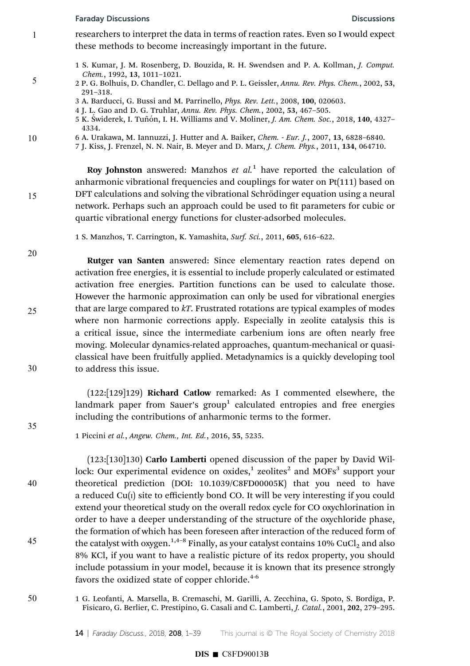1

5

10

15

20

25

30

35

40

45

- researchers to interpret the data in terms of reaction rates. Even so I would expect these methods to become increasingly important in the future.
	- 1 S. Kumar, J. M. Rosenberg, D. Bouzida, R. H. Swendsen and P. A. Kollman, J. Comput. Chem., 1992, 13, 1011–1021.
	- 2 P. G. Bolhuis, D. Chandler, C. Dellago and P. L. Geissler, Annu. Rev. Phys. Chem., 2002, 53, 291–318.
	- 3 A. Barducci, G. Bussi and M. Parrinello, Phys. Rev. Lett., 2008, 100, 020603.
	- 4 J. L. Gao and D. G. Truhlar, Annu. Rev. Phys. Chem., 2002, 53, 467–505.
	- 5 K. Swiderek, I. Tuñón, I. H. Williams and V. Moliner, *J. Am. Chem. Soc.*, 2018, 140, 4327– 4334.
- 6 A. Urakawa, M. Iannuzzi, J. Hutter and A. Baiker, Chem. Eur. J., 2007, 13, 6828–6840.
	- 7 J. Kiss, J. Frenzel, N. N. Nair, B. Meyer and D. Marx, J. Chem. Phys., 2011, 134, 064710.

Roy Johnston answered: Manzhos  $et$   $al$ <sup>1</sup> have reported the calculation of anharmonic vibrational frequencies and couplings for water on Pt(111) based on DFT calculations and solving the vibrational Schrödinger equation using a neural network. Perhaps such an approach could be used to fit parameters for cubic or quartic vibrational energy functions for cluster-adsorbed molecules.

1 S. Manzhos, T. Carrington, K. Yamashita, Surf. Sci., 2011, 605, 616–622.

Rutger van Santen answered: Since elementary reaction rates depend on activation free energies, it is essential to include properly calculated or estimated activation free energies. Partition functions can be used to calculate those. However the harmonic approximation can only be used for vibrational energies that are large compared to  $kT$ . Frustrated rotations are typical examples of modes where non harmonic corrections apply. Especially in zeolite catalysis this is a critical issue, since the intermediate carbenium ions are often nearly free moving. Molecular dynamics-related approaches, quantum-mechanical or quasiclassical have been fruitfully applied. Metadynamics is a quickly developing tool to address this issue.

(122:[129]129) Richard Catlow remarked: As I commented elsewhere, the landmark paper from Sauer's group $^1$  calculated entropies and free energies including the contributions of anharmonic terms to the former.

1 Piccini et al., Angew. Chem., Int. Ed., 2016, 55, 5235.

(123:[130]130) Carlo Lamberti opened discussion of the paper by David Willock: Our experimental evidence on oxides,<sup>1</sup> zeolites<sup>2</sup> and MOFs<sup>3</sup> support your theoretical prediction (DOI: 10.1039/C8FD00005K) that you need to have a reduced  $Cu(i)$  site to efficiently bond CO. It will be very interesting if you could extend your theoretical study on the overall redox cycle for CO oxychlorination in order to have a deeper understanding of the structure of the oxychloride phase, the formation of which has been foreseen after interaction of the reduced form of the catalyst with oxygen. $^{1,4-8}$  Finally, as your catalyst contains 10% CuCl $_2$  and also 8% KCl, if you want to have a realistic picture of its redox property, you should include potassium in your model, because it is known that its presence strongly favors the oxidized state of copper chloride. $4-6$ 

1 G. Leofanti, A. Marsella, B. Cremaschi, M. Garilli, A. Zecchina, G. Spoto, S. Bordiga, P. Fisicaro, G. Berlier, C. Prestipino, G. Casali and C. Lamberti, J. Catal., 2001, 202, 279–295. 50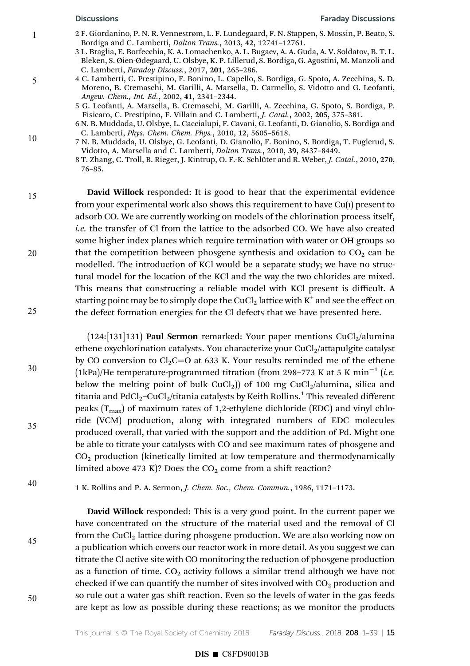5

10

15

20

25

30

- 2 F. Giordanino, P. N. R. Vennestrøm, L. F. Lundegaard, F. N. Stappen, S. Mossin, P. Beato, S. Bordiga and C. Lamberti, Dalton Trans., 2013, 42, 12741–12761.
- 3 L. Braglia, E. Borfecchia, K. A. Lomachenko, A. L. Bugaev, A. A. Guda, A. V. Soldatov, B. T. L. Bleken, S. Øien-Ødegaard, U. Olsbye, K. P. Lillerud, S. Bordiga, G. Agostini, M. Manzoli and C. Lamberti, Faraday Discuss., 2017, 201, 265–286.
- 4 C. Lamberti, C. Prestipino, F. Bonino, L. Capello, S. Bordiga, G. Spoto, A. Zecchina, S. D. Moreno, B. Cremaschi, M. Garilli, A. Marsella, D. Carmello, S. Vidotto and G. Leofanti, Angew. Chem., Int. Ed., 2002, 41, 2341–2344.
- 5 G. Leofanti, A. Marsella, B. Cremaschi, M. Garilli, A. Zecchina, G. Spoto, S. Bordiga, P. Fisicaro, C. Prestipino, F. Villain and C. Lamberti, J. Catal., 2002, 205, 375–381.
	- 6 N. B. Muddada, U. Olsbye, L. Caccialupi, F. Cavani, G. Leofanti, D. Gianolio, S. Bordiga and C. Lamberti, Phys. Chem. Chem. Phys., 2010, 12, 5605–5618.
- 7 N. B. Muddada, U. Olsbye, G. Leofanti, D. Gianolio, F. Bonino, S. Bordiga, T. Fuglerud, S. Vidotto, A. Marsella and C. Lamberti, Dalton Trans., 2010, 39, 8437–8449.
- 8 T. Zhang, C. Troll, B. Rieger, J. Kintrup, O. F.-K. Schlüter and R. Weber, J. Catal., 2010, 270, 76–85.

David Willock responded: It is good to hear that the experimental evidence from your experimental work also shows this requirement to have  $Cu(I)$  present to adsorb CO. We are currently working on models of the chlorination process itself, i.e. the transfer of Cl from the lattice to the adsorbed CO. We have also created some higher index planes which require termination with water or OH groups so that the competition between phosgene synthesis and oxidation to  $CO<sub>2</sub>$  can be modelled. The introduction of KCl would be a separate study; we have no structural model for the location of the KCl and the way the two chlorides are mixed. This means that constructing a reliable model with KCl present is difficult. A starting point may be to simply dope the CuCl $_2$  lattice with  $\mathrm{K}^{\mathrm{+}}$  and see the effect on the defect formation energies for the Cl defects that we have presented here.

(124:[131]131) **Paul Sermon** remarked: Your paper mentions  $CuCl<sub>2</sub>/alumina$ ethene oxychlorination catalysts. You characterize your CuCl<sub>2</sub>/attapulgite catalyst by CO conversion to Cl<sub>2</sub>C=O at 633 K. Your results reminded me of the ethene (1kPa)/He temperature-programmed titration (from 298–773 K at 5 K min<sup>-1</sup> (*i.e.*) below the melting point of bulk CuCl<sub>2</sub>)) of 100 mg CuCl<sub>2</sub>/alumina, silica and titania and PdCl $_2$ –CuCl $_2$ /titania catalysts by Keith Rollins. $^1$  This revealed different peaks  $(T<sub>max</sub>)$  of maximum rates of 1,2-ethylene dichloride (EDC) and vinyl chloride (VCM) production, along with integrated numbers of EDC molecules produced overall, that varied with the support and the addition of Pd. Might one be able to titrate your catalysts with CO and see maximum rates of phosgene and  $CO<sub>2</sub>$  production (kinetically limited at low temperature and thermodynamically limited above 473 K)? Does the  $CO<sub>2</sub>$  come from a shift reaction?

40

35

1 K. Rollins and P. A. Sermon, J. Chem. Soc., Chem. Commun., 1986, 1171–1173.

David Willock responded: This is a very good point. In the current paper we have concentrated on the structure of the material used and the removal of Cl from the CuCl<sub>2</sub> lattice during phosgene production. We are also working now on a publication which covers our reactor work in more detail. As you suggest we can titrate the Cl active site with CO monitoring the reduction of phosgene production as a function of time.  $CO<sub>2</sub>$  activity follows a similar trend although we have not checked if we can quantify the number of sites involved with  $CO<sub>2</sub>$  production and so rule out a water gas shift reaction. Even so the levels of water in the gas feeds are kept as low as possible during these reactions; as we monitor the products

50

45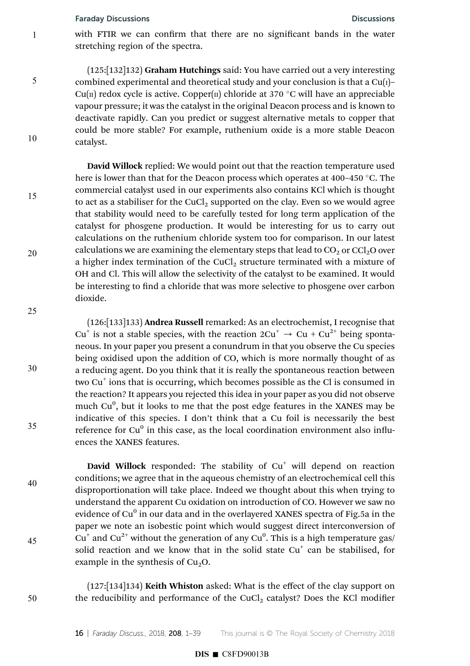1

5

10

15

20

25

30

35

40

45

with FTIR we can confirm that there are no significant bands in the water stretching region of the spectra.

(125:[132]132) Graham Hutchings said: You have carried out a very interesting combined experimental and theoretical study and your conclusion is that a  $Cu(1)$ – Cu(II) redox cycle is active. Copper(II) chloride at 370  $\degree$ C will have an appreciable vapour pressure; it was the catalyst in the original Deacon process and is known to deactivate rapidly. Can you predict or suggest alternative metals to copper that could be more stable? For example, ruthenium oxide is a more stable Deacon catalyst.

David Willock replied: We would point out that the reaction temperature used here is lower than that for the Deacon process which operates at 400–450  $\degree$ C. The commercial catalyst used in our experiments also contains KCl which is thought to act as a stabiliser for the CuCl<sub>2</sub> supported on the clay. Even so we would agree that stability would need to be carefully tested for long term application of the catalyst for phosgene production. It would be interesting for us to carry out calculations on the ruthenium chloride system too for comparison. In our latest calculations we are examining the elementary steps that lead to  $CO_2$  or  $\text{Cl}_2\text{O}$  over a higher index termination of the CuCl<sub>2</sub> structure terminated with a mixture of OH and Cl. This will allow the selectivity of the catalyst to be examined. It would be interesting to find a chloride that was more selective to phosgene over carbon dioxide.

(126:[133]133) Andrea Russell remarked: As an electrochemist, I recognise that  $Cu^{+}$  is not a stable species, with the reaction  $2Cu^{+} \rightarrow Cu + Cu^{2+}$  being spontaneous. In your paper you present a conundrum in that you observe the Cu species being oxidised upon the addition of CO, which is more normally thought of as a reducing agent. Do you think that it is really the spontaneous reaction between two Cu<sup>+</sup> ions that is occurring, which becomes possible as the Cl is consumed in the reaction? It appears you rejected this idea in your paper as you did not observe much Cu<sup>0</sup>, but it looks to me that the post edge features in the XANES may be indicative of this species. I don't think that a Cu foil is necessarily the best reference for Cu $^0$  in this case, as the local coordination environment also influences the XANES features.

David Willock responded: The stability of  $Cu<sup>+</sup>$  will depend on reaction conditions; we agree that in the aqueous chemistry of an electrochemical cell this disproportionation will take place. Indeed we thought about this when trying to understand the apparent Cu oxidation on introduction of CO. However we saw no evidence of Cu $^0$  in our data and in the overlayered XANES spectra of Fig.5a in the paper we note an isobestic point which would suggest direct interconversion of Cu<sup>+</sup> and Cu<sup>2+</sup> without the generation of any Cu<sup>0</sup>. This is a high temperature gas/ solid reaction and we know that in the solid state  $Cu<sup>+</sup>$  can be stabilised, for example in the synthesis of  $Cu<sub>2</sub>O$ .

50

(127:[134]134) Keith Whiston asked: What is the effect of the clay support on the reducibility and performance of the CuCl<sub>2</sub> catalyst? Does the KCl modifier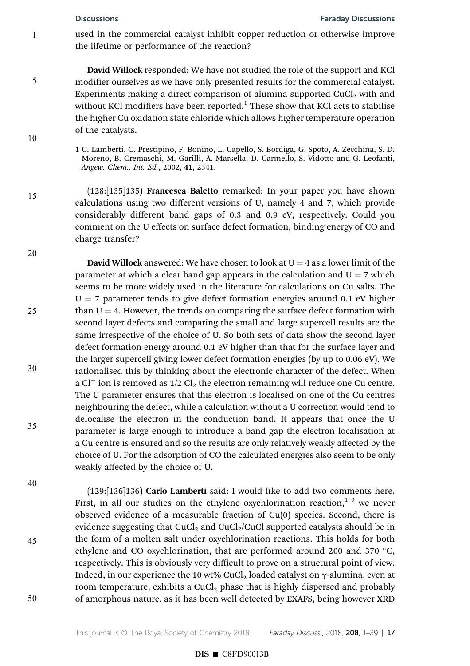5

10

15

20

25

30

used in the commercial catalyst inhibit copper reduction or otherwise improve the lifetime or performance of the reaction?

David Willock responded: We have not studied the role of the support and KCl modifier ourselves as we have only presented results for the commercial catalyst. Experiments making a direct comparison of alumina supported  $CuCl<sub>2</sub>$  with and without KCl modifiers have been reported. $^1$  These show that KCl acts to stabilise the higher Cu oxidation state chloride which allows higher temperature operation of the catalysts.

1 C. Lamberti, C. Prestipino, F. Bonino, L. Capello, S. Bordiga, G. Spoto, A. Zecchina, S. D. Moreno, B. Cremaschi, M. Garilli, A. Marsella, D. Carmello, S. Vidotto and G. Leofanti, Angew. Chem., Int. Ed., 2002, 41, 2341.

(128:[135]135) Francesca Baletto remarked: In your paper you have shown calculations using two different versions of U, namely 4 and 7, which provide considerably different band gaps of 0.3 and 0.9 eV, respectively. Could you comment on the U effects on surface defect formation, binding energy of CO and charge transfer?

**David Willock** answered: We have chosen to look at  $U = 4$  as a lower limit of the parameter at which a clear band gap appears in the calculation and  $U = 7$  which seems to be more widely used in the literature for calculations on Cu salts. The  $U = 7$  parameter tends to give defect formation energies around 0.1 eV higher than  $U = 4$ . However, the trends on comparing the surface defect formation with second layer defects and comparing the small and large supercell results are the same irrespective of the choice of U. So both sets of data show the second layer defect formation energy around 0.1 eV higher than that for the surface layer and the larger supercell giving lower defect formation energies (by up to 0.06 eV). We rationalised this by thinking about the electronic character of the defect. When a Cl<sup>-</sup> ion is removed as  $1/2$  Cl<sub>2</sub> the electron remaining will reduce one Cu centre. The U parameter ensures that this electron is localised on one of the Cu centres neighbouring the defect, while a calculation without a U correction would tend to delocalise the electron in the conduction band. It appears that once the U parameter is large enough to introduce a band gap the electron localisation at a Cu centre is ensured and so the results are only relatively weakly affected by the choice of U. For the adsorption of CO the calculated energies also seem to be only weakly affected by the choice of U.

40

35

45

50

(129:[136]136) Carlo Lamberti said: I would like to add two comments here. First, in all our studies on the ethylene oxychlorination reaction,<sup>1-9</sup> we never observed evidence of a measurable fraction of Cu(0) species. Second, there is evidence suggesting that  $CuCl<sub>2</sub>$  and  $CuCl<sub>2</sub>/CuCl$  supported catalysts should be in the form of a molten salt under oxychlorination reactions. This holds for both ethylene and CO oxychlorination, that are performed around 200 and 370  $^{\circ}$ C, respectively. This is obviously very difficult to prove on a structural point of view. Indeed, in our experience the 10 wt% CuCl<sub>2</sub> loaded catalyst on  $\gamma$ -alumina, even at room temperature, exhibits a CuCl<sub>2</sub> phase that is highly dispersed and probably of amorphous nature, as it has been well detected by EXAFS, being however XRD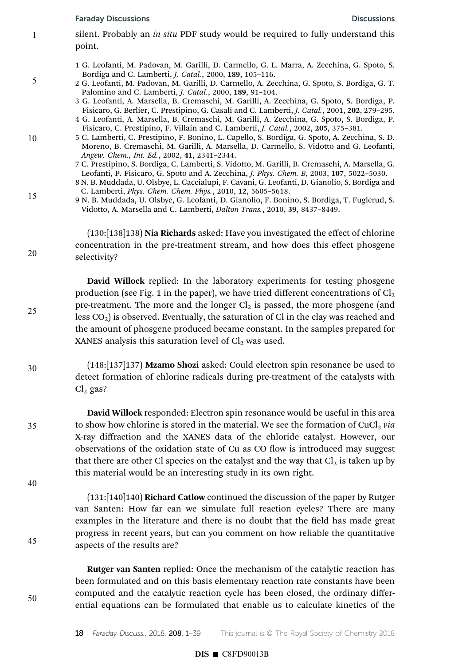5

10

15

20

25

30

35

40

45

50

- silent. Probably an *in situ* PDF study would be required to fully understand this point.
	- 1 G. Leofanti, M. Padovan, M. Garilli, D. Carmello, G. L. Marra, A. Zecchina, G. Spoto, S. Bordiga and C. Lamberti, J. Catal., 2000, 189, 105–116.
	- 2 G. Leofanti, M. Padovan, M. Garilli, D. Carmello, A. Zecchina, G. Spoto, S. Bordiga, G. T. Palomino and C. Lamberti, J. Catal., 2000, 189, 91–104.
	- 3 G. Leofanti, A. Marsella, B. Cremaschi, M. Garilli, A. Zecchina, G. Spoto, S. Bordiga, P. Fisicaro, G. Berlier, C. Prestipino, G. Casali and C. Lamberti, J. Catal., 2001, 202, 279–295.
	- 4 G. Leofanti, A. Marsella, B. Cremaschi, M. Garilli, A. Zecchina, G. Spoto, S. Bordiga, P. Fisicaro, C. Prestipino, F. Villain and C. Lamberti, J. Catal., 2002, 205, 375–381.
	- 5 C. Lamberti, C. Prestipino, F. Bonino, L. Capello, S. Bordiga, G. Spoto, A. Zecchina, S. D. Moreno, B. Cremaschi, M. Garilli, A. Marsella, D. Carmello, S. Vidotto and G. Leofanti, Angew. Chem., Int. Ed., 2002, 41, 2341–2344.
	- 7 C. Prestipino, S. Bordiga, C. Lamberti, S. Vidotto, M. Garilli, B. Cremaschi, A. Marsella, G. Leofanti, P. Fisicaro, G. Spoto and A. Zecchina, J. Phys. Chem. B, 2003, 107, 5022–5030.
	- 8 N. B. Muddada, U. Olsbye, L. Caccialupi, F. Cavani, G. Leofanti, D. Gianolio, S. Bordiga and C. Lamberti, Phys. Chem. Chem. Phys., 2010, 12, 5605–5618.
- 9 N. B. Muddada, U. Olsbye, G. Leofanti, D. Gianolio, F. Bonino, S. Bordiga, T. Fuglerud, S. Vidotto, A. Marsella and C. Lamberti, Dalton Trans., 2010, 39, 8437–8449.

(130:[138]138) Nia Richards asked: Have you investigated the effect of chlorine concentration in the pre-treatment stream, and how does this effect phosgene selectivity?

David Willock replied: In the laboratory experiments for testing phosgene production (see Fig. 1 in the paper), we have tried different concentrations of  $Cl<sub>2</sub>$ pre-treatment. The more and the longer  $Cl<sub>2</sub>$  is passed, the more phosgene (and less  $CO<sub>2</sub>$ ) is observed. Eventually, the saturation of Cl in the clay was reached and the amount of phosgene produced became constant. In the samples prepared for XANES analysis this saturation level of  $Cl<sub>2</sub>$  was used.

- (148:[137]137) Mzamo Shozi asked: Could electron spin resonance be used to detect formation of chlorine radicals during pre-treatment of the catalysts with  $Cl<sub>2</sub>$  gas?
- David Willock responded: Electron spin resonance would be useful in this area to show how chlorine is stored in the material. We see the formation of  $CuCl<sub>2</sub>$  via X-ray diffraction and the XANES data of the chloride catalyst. However, our observations of the oxidation state of Cu as CO flow is introduced may suggest that there are other Cl species on the catalyst and the way that  $Cl<sub>2</sub>$  is taken up by this material would be an interesting study in its own right.

(131:[140]140) Richard Catlow continued the discussion of the paper by Rutger van Santen: How far can we simulate full reaction cycles? There are many examples in the literature and there is no doubt that the field has made great progress in recent years, but can you comment on how reliable the quantitative aspects of the results are?

Rutger van Santen replied: Once the mechanism of the catalytic reaction has been formulated and on this basis elementary reaction rate constants have been computed and the catalytic reaction cycle has been closed, the ordinary differential equations can be formulated that enable us to calculate kinetics of the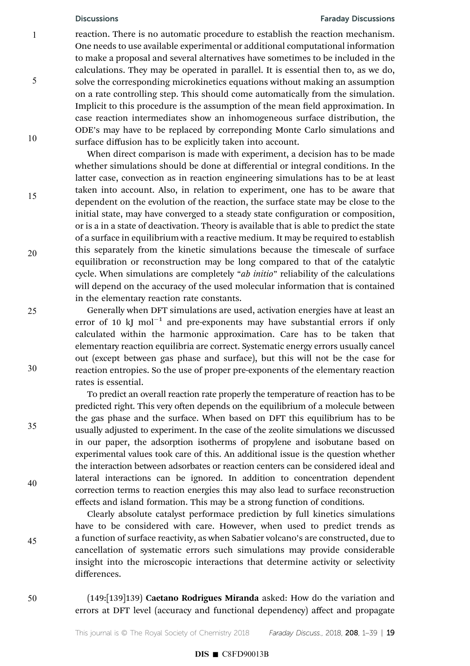5

10

15

20

25

30

35

40

45

### Discussions Faraday Discussions

reaction. There is no automatic procedure to establish the reaction mechanism. One needs to use available experimental or additional computational information to make a proposal and several alternatives have sometimes to be included in the calculations. They may be operated in parallel. It is essential then to, as we do, solve the corresponding microkinetics equations without making an assumption on a rate controlling step. This should come automatically from the simulation. Implicit to this procedure is the assumption of the mean field approximation. In case reaction intermediates show an inhomogeneous surface distribution, the ODE's may have to be replaced by correponding Monte Carlo simulations and surface diffusion has to be explicitly taken into account.

When direct comparison is made with experiment, a decision has to be made whether simulations should be done at differential or integral conditions. In the latter case, convection as in reaction engineering simulations has to be at least taken into account. Also, in relation to experiment, one has to be aware that dependent on the evolution of the reaction, the surface state may be close to the initial state, may have converged to a steady state configuration or composition, or is a in a state of deactivation. Theory is available that is able to predict the state of a surface in equilibrium with a reactive medium. It may be required to establish this separately from the kinetic simulations because the timescale of surface equilibration or reconstruction may be long compared to that of the catalytic cycle. When simulations are completely "ab initio" reliability of the calculations will depend on the accuracy of the used molecular information that is contained in the elementary reaction rate constants.

Generally when DFT simulations are used, activation energies have at least an error of 10 kJ mol<sup>-1</sup> and pre-exponents may have substantial errors if only calculated within the harmonic approximation. Care has to be taken that elementary reaction equilibria are correct. Systematic energy errors usually cancel out (except between gas phase and surface), but this will not be the case for reaction entropies. So the use of proper pre-exponents of the elementary reaction rates is essential.

To predict an overall reaction rate properly the temperature of reaction has to be predicted right. This very often depends on the equilibrium of a molecule between the gas phase and the surface. When based on DFT this equilibrium has to be usually adjusted to experiment. In the case of the zeolite simulations we discussed in our paper, the adsorption isotherms of propylene and isobutane based on experimental values took care of this. An additional issue is the question whether the interaction between adsorbates or reaction centers can be considered ideal and lateral interactions can be ignored. In addition to concentration dependent correction terms to reaction energies this may also lead to surface reconstruction effects and island formation. This may be a strong function of conditions.

Clearly absolute catalyst performace prediction by full kinetics simulations have to be considered with care. However, when used to predict trends as a function of surface reactivity, as when Sabatier volcano's are constructed, due to cancellation of systematic errors such simulations may provide considerable insight into the microscopic interactions that determine activity or selectivity differences.

(149:[139]139) Caetano Rodrigues Miranda asked: How do the variation and errors at DFT level (accuracy and functional dependency) affect and propagate 50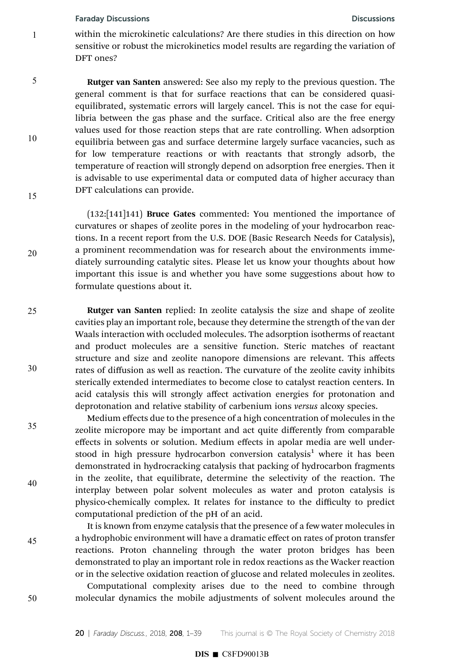1

5

10

15

20

25

30

35

40

45

50

within the microkinetic calculations? Are there studies in this direction on how sensitive or robust the microkinetics model results are regarding the variation of DFT ones?

Rutger van Santen answered: See also my reply to the previous question. The general comment is that for surface reactions that can be considered quasiequilibrated, systematic errors will largely cancel. This is not the case for equilibria between the gas phase and the surface. Critical also are the free energy values used for those reaction steps that are rate controlling. When adsorption equilibria between gas and surface determine largely surface vacancies, such as for low temperature reactions or with reactants that strongly adsorb, the temperature of reaction will strongly depend on adsorption free energies. Then it is advisable to use experimental data or computed data of higher accuracy than DFT calculations can provide.

(132:[141]141) Bruce Gates commented: You mentioned the importance of curvatures or shapes of zeolite pores in the modeling of your hydrocarbon reactions. In a recent report from the U.S. DOE (Basic Research Needs for Catalysis), a prominent recommendation was for research about the environments immediately surrounding catalytic sites. Please let us know your thoughts about how important this issue is and whether you have some suggestions about how to formulate questions about it.

Rutger van Santen replied: In zeolite catalysis the size and shape of zeolite cavities play an important role, because they determine the strength of the van der Waals interaction with occluded molecules. The adsorption isotherms of reactant and product molecules are a sensitive function. Steric matches of reactant structure and size and zeolite nanopore dimensions are relevant. This affects rates of diffusion as well as reaction. The curvature of the zeolite cavity inhibits sterically extended intermediates to become close to catalyst reaction centers. In acid catalysis this will strongly affect activation energies for protonation and deprotonation and relative stability of carbenium ions versus alcoxy species.

Medium effects due to the presence of a high concentration of molecules in the zeolite micropore may be important and act quite differently from comparable effects in solvents or solution. Medium effects in apolar media are well understood in high pressure hydrocarbon conversion catalysis<sup>1</sup> where it has been demonstrated in hydrocracking catalysis that packing of hydrocarbon fragments in the zeolite, that equilibrate, determine the selectivity of the reaction. The interplay between polar solvent molecules as water and proton catalysis is physico-chemically complex. It relates for instance to the difficulty to predict computational prediction of the pH of an acid.

It is known from enzyme catalysis that the presence of a few water molecules in a hydrophobic environment will have a dramatic effect on rates of proton transfer reactions. Proton channeling through the water proton bridges has been demonstrated to play an important role in redox reactions as the Wacker reaction or in the selective oxidation reaction of glucose and related molecules in zeolites.

Computational complexity arises due to the need to combine through molecular dynamics the mobile adjustments of solvent molecules around the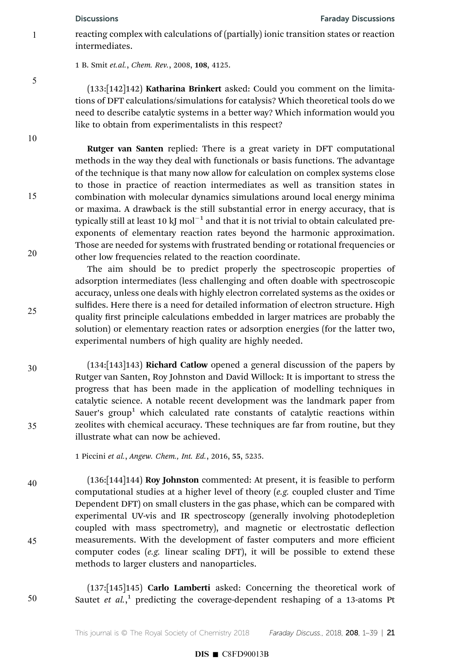5

10

15

20

25

30

35

reacting complex with calculations of (partially) ionic transition states or reaction intermediates.

1 B. Smit et.al., Chem. Rev., 2008, 108, 4125.

(133:[142]142) Katharina Brinkert asked: Could you comment on the limitations of DFT calculations/simulations for catalysis? Which theoretical tools do we need to describe catalytic systems in a better way? Which information would you like to obtain from experimentalists in this respect?

Rutger van Santen replied: There is a great variety in DFT computational methods in the way they deal with functionals or basis functions. The advantage of the technique is that many now allow for calculation on complex systems close to those in practice of reaction intermediates as well as transition states in combination with molecular dynamics simulations around local energy minima or maxima. A drawback is the still substantial error in energy accuracy, that is typically still at least 10 kJ  $mol^{-1}$  and that it is not trivial to obtain calculated preexponents of elementary reaction rates beyond the harmonic approximation. Those are needed for systems with frustrated bending or rotational frequencies or other low frequencies related to the reaction coordinate.

The aim should be to predict properly the spectroscopic properties of adsorption intermediates (less challenging and often doable with spectroscopic accuracy, unless one deals with highly electron correlated systems as the oxides or sulfides. Here there is a need for detailed information of electron structure. High quality first principle calculations embedded in larger matrices are probably the solution) or elementary reaction rates or adsorption energies (for the latter two, experimental numbers of high quality are highly needed.

(134:[143]143) Richard Catlow opened a general discussion of the papers by Rutger van Santen, Roy Johnston and David Willock: It is important to stress the progress that has been made in the application of modelling techniques in catalytic science. A notable recent development was the landmark paper from Sauer's group<sup>1</sup> which calculated rate constants of catalytic reactions within zeolites with chemical accuracy. These techniques are far from routine, but they illustrate what can now be achieved.

1 Piccini et al., Angew. Chem., Int. Ed., 2016, 55, 5235.

(136:[144]144) Roy Johnston commented: At present, it is feasible to perform computational studies at a higher level of theory (e.g. coupled cluster and Time Dependent DFT) on small clusters in the gas phase, which can be compared with experimental UV-vis and IR spectroscopy (generally involving photodepletion coupled with mass spectrometry), and magnetic or electrostatic deflection measurements. With the development of faster computers and more efficient computer codes (e.g. linear scaling DFT), it will be possible to extend these methods to larger clusters and nanoparticles. 40 45

(137:[145]145) Carlo Lamberti asked: Concerning the theoretical work of Sautet et  $al$ ,<sup>1</sup> predicting the coverage-dependent reshaping of a 13-atoms Pt 50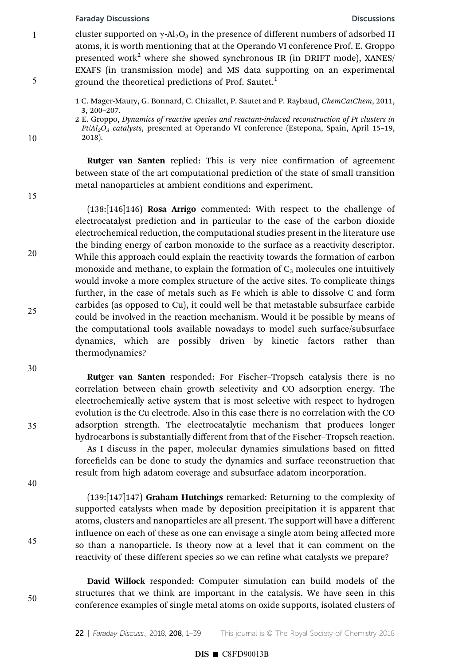# **Faraday Discussions Discussions Discussions Discussions**

cluster supported on  $\gamma$ -Al<sub>2</sub>O<sub>3</sub> in the presence of different numbers of adsorbed H atoms, it is worth mentioning that at the Operando VI conference Prof. E. Groppo presented work<sup>2</sup> where she showed synchronous IR (in DRIFT mode), XANES/ EXAFS (in transmission mode) and MS data supporting on an experimental ground the theoretical predictions of Prof. Sautet.<sup>1</sup>

1 C. Mager-Maury, G. Bonnard, C. Chizallet, P. Sautet and P. Raybaud, ChemCatChem, 2011, 3, 200–207.

2 E. Groppo, Dynamics of reactive species and reactant-induced reconstruction of Pt clusters in  $Pt/Al_2O_3$  catalysts, presented at Operando VI conference (Estepona, Spain, April 15–19, 2018).

Rutger van Santen replied: This is very nice confirmation of agreement between state of the art computational prediction of the state of small transition metal nanoparticles at ambient conditions and experiment.

15

20

10

1

5

(138:[146]146) Rosa Arrigo commented: With respect to the challenge of electrocatalyst prediction and in particular to the case of the carbon dioxide electrochemical reduction, the computational studies present in the literature use the binding energy of carbon monoxide to the surface as a reactivity descriptor. While this approach could explain the reactivity towards the formation of carbon monoxide and methane, to explain the formation of  $C_3$  molecules one intuitively would invoke a more complex structure of the active sites. To complicate things further, in the case of metals such as Fe which is able to dissolve C and form carbides (as opposed to Cu), it could well be that metastable subsurface carbide could be involved in the reaction mechanism. Would it be possible by means of the computational tools available nowadays to model such surface/subsurface dynamics, which are possibly driven by kinetic factors rather than thermodynamics?

30

35

40

45

50

25

Rutger van Santen responded: For Fischer–Tropsch catalysis there is no correlation between chain growth selectivity and CO adsorption energy. The electrochemically active system that is most selective with respect to hydrogen evolution is the Cu electrode. Also in this case there is no correlation with the CO adsorption strength. The electrocatalytic mechanism that produces longer hydrocarbons is substantially different from that of the Fischer–Tropsch reaction.

As I discuss in the paper, molecular dynamics simulations based on fitted forcefields can be done to study the dynamics and surface reconstruction that result from high adatom coverage and subsurface adatom incorporation.

(139:[147]147) Graham Hutchings remarked: Returning to the complexity of supported catalysts when made by deposition precipitation it is apparent that atoms, clusters and nanoparticles are all present. The support will have a different influence on each of these as one can envisage a single atom being affected more so than a nanoparticle. Is theory now at a level that it can comment on the reactivity of these different species so we can refine what catalysts we prepare?

David Willock responded: Computer simulation can build models of the structures that we think are important in the catalysis. We have seen in this conference examples of single metal atoms on oxide supports, isolated clusters of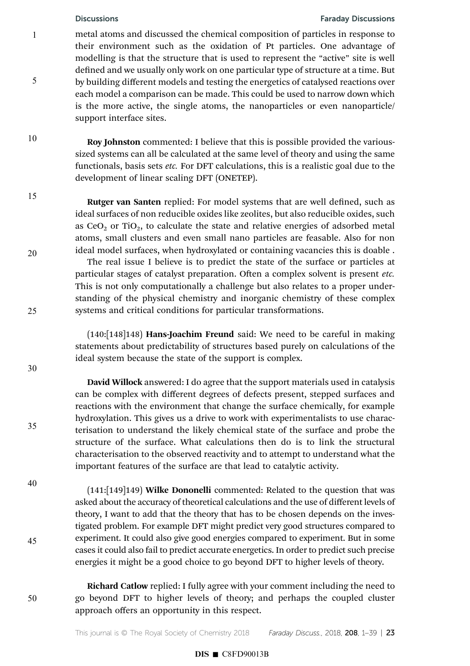5

10

15

20

25

30

### Discussions Faraday Discussions

metal atoms and discussed the chemical composition of particles in response to their environment such as the oxidation of Pt particles. One advantage of modelling is that the structure that is used to represent the "active" site is well defined and we usually only work on one particular type of structure at a time. But by building different models and testing the energetics of catalysed reactions over each model a comparison can be made. This could be used to narrow down which is the more active, the single atoms, the nanoparticles or even nanoparticle/ support interface sites.

Roy Johnston commented: I believe that this is possible provided the varioussized systems can all be calculated at the same level of theory and using the same functionals, basis sets etc. For DFT calculations, this is a realistic goal due to the development of linear scaling DFT (ONETEP).

Rutger van Santen replied: For model systems that are well defined, such as ideal surfaces of non reducible oxides like zeolites, but also reducible oxides, such as  $CeO<sub>2</sub>$  or TiO<sub>2</sub>, to calculate the state and relative energies of adsorbed metal atoms, small clusters and even small nano particles are feasable. Also for non ideal model surfaces, when hydroxylated or containing vacancies this is doable .

The real issue I believe is to predict the state of the surface or particles at particular stages of catalyst preparation. Often a complex solvent is present etc. This is not only computationally a challenge but also relates to a proper understanding of the physical chemistry and inorganic chemistry of these complex systems and critical conditions for particular transformations.

(140:[148]148) Hans-Joachim Freund said: We need to be careful in making statements about predictability of structures based purely on calculations of the ideal system because the state of the support is complex.

David Willock answered: I do agree that the support materials used in catalysis can be complex with different degrees of defects present, stepped surfaces and reactions with the environment that change the surface chemically, for example hydroxylation. This gives us a drive to work with experimentalists to use characterisation to understand the likely chemical state of the surface and probe the structure of the surface. What calculations then do is to link the structural characterisation to the observed reactivity and to attempt to understand what the important features of the surface are that lead to catalytic activity.

(141:[149]149) Wilke Dononelli commented: Related to the question that was asked about the accuracy of theoretical calculations and the use of different levels of theory, I want to add that the theory that has to be chosen depends on the investigated problem. For example DFT might predict very good structures compared to experiment. It could also give good energies compared to experiment. But in some cases it could also fail to predict accurate energetics. In order to predict such precise energies it might be a good choice to go beyond DFT to higher levels of theory.

40

35

45

50

Richard Catlow replied: I fully agree with your comment including the need to go beyond DFT to higher levels of theory; and perhaps the coupled cluster approach offers an opportunity in this respect.

This journal is  $\circ$  The Royal Society of Chemistry 2018 Faraday Discuss., 2018, 208, 1–39 | 23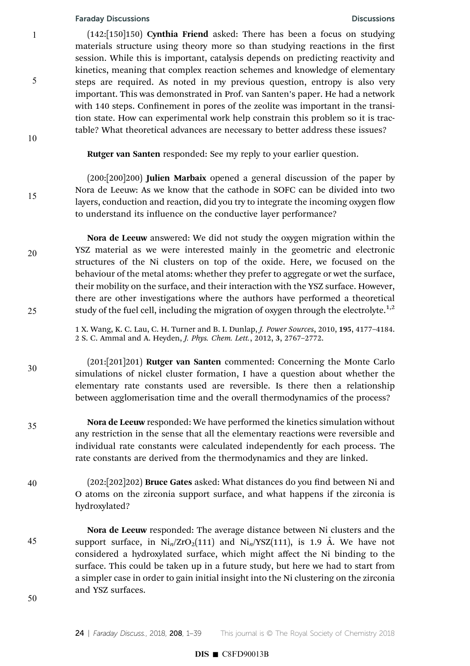1

5

10

15

20

25

30

35

(142:[150]150) Cynthia Friend asked: There has been a focus on studying materials structure using theory more so than studying reactions in the first session. While this is important, catalysis depends on predicting reactivity and kinetics, meaning that complex reaction schemes and knowledge of elementary steps are required. As noted in my previous question, entropy is also very important. This was demonstrated in Prof. van Santen's paper. He had a network with 140 steps. Confinement in pores of the zeolite was important in the transition state. How can experimental work help constrain this problem so it is tractable? What theoretical advances are necessary to better address these issues?

Rutger van Santen responded: See my reply to your earlier question.

(200:[200]200) Julien Marbaix opened a general discussion of the paper by Nora de Leeuw: As we know that the cathode in SOFC can be divided into two layers, conduction and reaction, did you try to integrate the incoming oxygen flow to understand its influence on the conductive layer performance?

Nora de Leeuw answered: We did not study the oxygen migration within the YSZ material as we were interested mainly in the geometric and electronic structures of the Ni clusters on top of the oxide. Here, we focused on the behaviour of the metal atoms: whether they prefer to aggregate or wet the surface, their mobility on the surface, and their interaction with the YSZ surface. However, there are other investigations where the authors have performed a theoretical study of the fuel cell, including the migration of oxygen through the electrolyte.<sup>1,2</sup>

1 X. Wang, K. C. Lau, C. H. Turner and B. I. Dunlap, J. Power Sources, 2010, 195, 4177–4184. 2 S. C. Ammal and A. Heyden, J. Phys. Chem. Lett., 2012, 3, 2767–2772.

(201:[201]201) Rutger van Santen commented: Concerning the Monte Carlo simulations of nickel cluster formation, I have a question about whether the elementary rate constants used are reversible. Is there then a relationship between agglomerisation time and the overall thermodynamics of the process?

Nora de Leeuw responded: We have performed the kinetics simulation without any restriction in the sense that all the elementary reactions were reversible and individual rate constants were calculated independently for each process. The rate constants are derived from the thermodynamics and they are linked.

 $(202:[202]202)$  Bruce Gates asked: What distances do you find between Ni and O atoms on the zirconia support surface, and what happens if the zirconia is hydroxylated? 40

Nora de Leeuw responded: The average distance between Ni clusters and the support surface, in  $\text{Ni}_n/\text{ZrO}_2(111)$  and  $\text{Ni}_n/\text{YSZ}(111)$ , is 1.9 Å. We have not considered a hydroxylated surface, which might affect the Ni binding to the surface. This could be taken up in a future study, but here we had to start from a simpler case in order to gain initial insight into the Ni clustering on the zirconia and YSZ surfaces.

50

45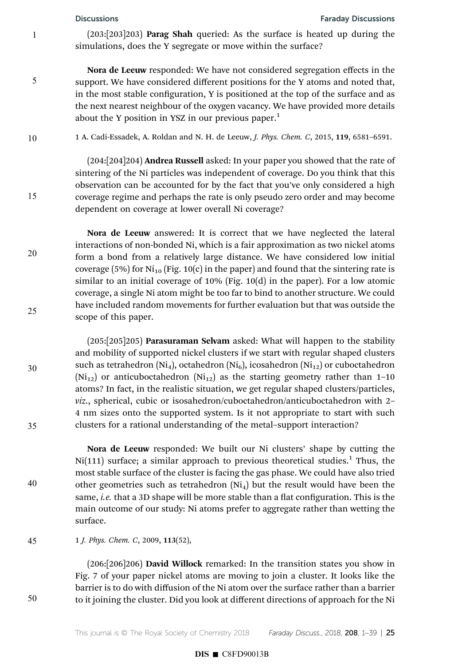5

15

20

25

30

35

40

50

 $(203:\overline{203}]203$  **Parag Shah** queried: As the surface is heated up during the simulations, does the Y segregate or move within the surface?

Nora de Leeuw responded: We have not considered segregation effects in the support. We have considered different positions for the Y atoms and noted that, in the most stable configuration, Y is positioned at the top of the surface and as the next nearest neighbour of the oxygen vacancy. We have provided more details about the Y position in YSZ in our previous paper.<sup>1</sup>

1 A. Cadi-Essadek, A. Roldan and N. H. de Leeuw, J. Phys. Chem. C, 2015, 119, 6581–6591. 10

> (204:[204]204) Andrea Russell asked: In your paper you showed that the rate of sintering of the Ni particles was independent of coverage. Do you think that this observation can be accounted for by the fact that you've only considered a high coverage regime and perhaps the rate is only pseudo zero order and may become dependent on coverage at lower overall Ni coverage?

Nora de Leeuw answered: It is correct that we have neglected the lateral interactions of non-bonded Ni, which is a fair approximation as two nickel atoms form a bond from a relatively large distance. We have considered low initial coverage (5%) for  $Ni_{10}$  (Fig. 10(c) in the paper) and found that the sintering rate is similar to an initial coverage of 10% (Fig. 10(d) in the paper). For a low atomic coverage, a single Ni atom might be too far to bind to another structure. We could have included random movements for further evaluation but that was outside the scope of this paper.

(205:[205]205) Parasuraman Selvam asked: What will happen to the stability and mobility of supported nickel clusters if we start with regular shaped clusters such as tetrahedron (Ni<sub>4</sub>), octahedron (Ni<sub>6</sub>), icosahedron (Ni<sub>12</sub>) or cuboctahedron  $(Ni_{12})$  or anticuboctahedron  $(Ni_{12})$  as the starting geometry rather than 1-10 atoms? In fact, in the realistic situation, we get regular shaped clusters/particles, viz., spherical, cubic or isosahedron/cuboctahedron/anticuboctahedron with 2– 4 nm sizes onto the supported system. Is it not appropriate to start with such clusters for a rational understanding of the metal–support interaction?

Nora de Leeuw responded: We built our Ni clusters' shape by cutting the  $Ni(111)$  surface; a similar approach to previous theoretical studies.<sup>1</sup> Thus, the most stable surface of the cluster is facing the gas phase. We could have also tried other geometries such as tetrahedron  $(Ni<sub>4</sub>)$  but the result would have been the same, *i.e.* that a 3D shape will be more stable than a flat configuration. This is the main outcome of our study: Ni atoms prefer to aggregate rather than wetting the surface.

1 J. Phys. Chem. C, 2009, 113(52), 45

> (206:[206]206) David Willock remarked: In the transition states you show in Fig. 7 of your paper nickel atoms are moving to join a cluster. It looks like the barrier is to do with diffusion of the Ni atom over the surface rather than a barrier to it joining the cluster. Did you look at different directions of approach for the Ni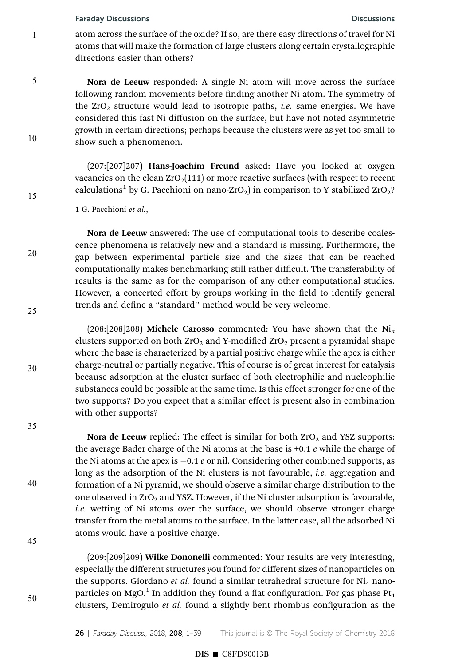1

5

10

15

20

25

30

35

40

45

50

atom across the surface of the oxide? If so, are there easy directions of travel for Ni atoms that will make the formation of large clusters along certain crystallographic directions easier than others?

Nora de Leeuw responded: A single Ni atom will move across the surface following random movements before finding another Ni atom. The symmetry of the  $ZrO<sub>2</sub>$  structure would lead to isotropic paths, *i.e.* same energies. We have considered this fast Ni diffusion on the surface, but have not noted asymmetric growth in certain directions; perhaps because the clusters were as yet too small to show such a phenomenon.

(207:[207]207) Hans-Joachim Freund asked: Have you looked at oxygen vacancies on the clean  $ZrO<sub>2</sub>(111)$  or more reactive surfaces (with respect to recent calculations<sup>1</sup> by G. Pacchioni on nano-ZrO<sub>2</sub>) in comparison to Y stabilized ZrO<sub>2</sub>?

1 G. Pacchioni et al.,

Nora de Leeuw answered: The use of computational tools to describe coalescence phenomena is relatively new and a standard is missing. Furthermore, the gap between experimental particle size and the sizes that can be reached computationally makes benchmarking still rather difficult. The transferability of results is the same as for the comparison of any other computational studies. However, a concerted effort by groups working in the field to identify general trends and define a "standard" method would be very welcome.

 $(208:[208]208)$  Michele Carosso commented: You have shown that the Ni<sub>n</sub> clusters supported on both  $ZrO<sub>2</sub>$  and Y-modified  $ZrO<sub>2</sub>$  present a pyramidal shape where the base is characterized by a partial positive charge while the apex is either charge-neutral or partially negative. This of course is of great interest for catalysis because adsorption at the cluster surface of both electrophilic and nucleophilic substances could be possible at the same time. Is this effect stronger for one of the two supports? Do you expect that a similar effect is present also in combination with other supports?

Nora de Leeuw replied: The effect is similar for both  $ZrO<sub>2</sub>$  and YSZ supports: the average Bader charge of the Ni atoms at the base is  $+0.1$  e while the charge of the Ni atoms at the apex is  $-0.1$  e or nil. Considering other combined supports, as long as the adsorption of the Ni clusters is not favourable, *i.e.* aggregation and formation of a Ni pyramid, we should observe a similar charge distribution to the one observed in  $ZrO<sub>2</sub>$  and YSZ. However, if the Ni cluster adsorption is favourable, i.e. wetting of Ni atoms over the surface, we should observe stronger charge transfer from the metal atoms to the surface. In the latter case, all the adsorbed Ni atoms would have a positive charge.

(209:[209]209) Wilke Dononelli commented: Your results are very interesting, especially the different structures you found for different sizes of nanoparticles on the supports. Giordano *et al.* found a similar tetrahedral structure for  $Ni<sub>4</sub>$  nanoparticles on MgO. $^{\rm 1}$  In addition they found a flat configuration. For gas phase Pt $_{\rm 4}$ clusters, Demirogulo et al. found a slightly bent rhombus configuration as the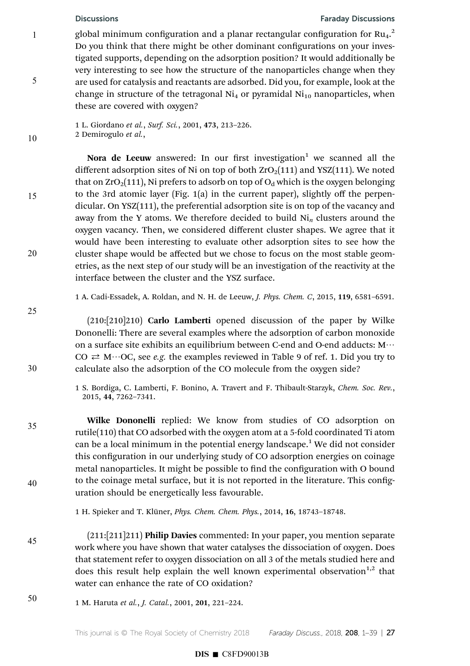5

10

15

20

25

30

35

40

45

global minimum configuration and a planar rectangular configuration for  $\mathrm{Ru}_4.^2$ Do you think that there might be other dominant configurations on your investigated supports, depending on the adsorption position? It would additionally be very interesting to see how the structure of the nanoparticles change when they are used for catalysis and reactants are adsorbed. Did you, for example, look at the change in structure of the tetragonal  $Ni<sub>4</sub>$  or pyramidal  $Ni<sub>10</sub>$  nanoparticles, when these are covered with oxygen?

1 L. Giordano et al., Surf. Sci., 2001, 473, 213–226. 2 Demirogulo et al.,

Nora de Leeuw answered: In our first investigation<sup>1</sup> we scanned all the different adsorption sites of Ni on top of both  $ZrO<sub>2</sub>(111)$  and YSZ(111). We noted that on  $ZrO_2(111)$ , Ni prefers to adsorb on top of  $O_d$  which is the oxygen belonging to the 3rd atomic layer (Fig. 1(a) in the current paper), slightly off the perpendicular. On YSZ(111), the preferential adsorption site is on top of the vacancy and away from the Y atoms. We therefore decided to build  $\mathrm{Ni}_{n}$  clusters around the oxygen vacancy. Then, we considered different cluster shapes. We agree that it would have been interesting to evaluate other adsorption sites to see how the cluster shape would be affected but we chose to focus on the most stable geometries, as the next step of our study will be an investigation of the reactivity at the interface between the cluster and the YSZ surface.

1 A. Cadi-Essadek, A. Roldan, and N. H. de Leeuw, J. Phys. Chem. C, 2015, 119, 6581–6591.

 $(210:[210]210)$  Carlo Lamberti opened discussion of the paper by Wilke Dononelli: There are several examples where the adsorption of carbon monoxide on a surface site exhibits an equilibrium between C-end and O-end adducts:  $M \cdots$  $CO \rightleftarrows M \cdots OC$ , see e.g. the examples reviewed in Table 9 of ref. 1. Did you try to calculate also the adsorption of the CO molecule from the oxygen side?

1 S. Bordiga, C. Lamberti, F. Bonino, A. Travert and F. Thibault-Starzyk, Chem. Soc. Rev., 2015, 44, 7262–7341.

Wilke Dononelli replied: We know from studies of CO adsorption on rutile(110) that CO adsorbed with the oxygen atom at a 5-fold coordinated Ti atom can be a local minimum in the potential energy landscape.<sup>1</sup> We did not consider this configuration in our underlying study of CO adsorption energies on coinage metal nanoparticles. It might be possible to find the configuration with O bound to the coinage metal surface, but it is not reported in the literature. This configuration should be energetically less favourable.

1 H. Spieker and T. Klüner, *Phys. Chem. Chem. Phys.*, 2014, 16, 18743-18748.

- (211:[211]211) Philip Davies commented: In your paper, you mention separate work where you have shown that water catalyses the dissociation of oxygen. Does that statement refer to oxygen dissociation on all 3 of the metals studied here and does this result help explain the well known experimental observation<sup>1,2</sup> that water can enhance the rate of CO oxidation?
- 1 M. Haruta et al., J. Catal., 2001, 201, 221–224. 50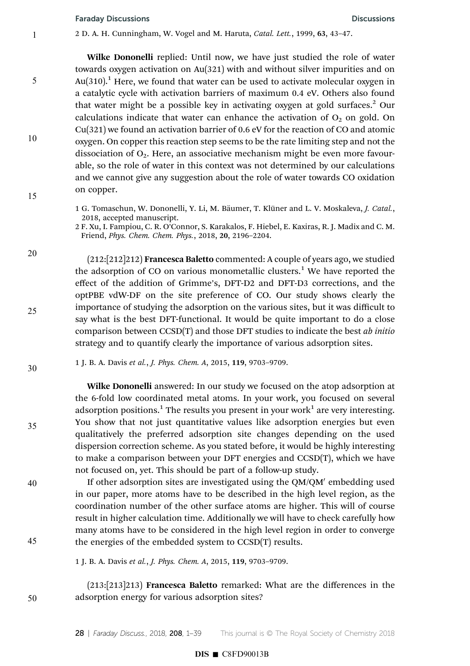1

5

10

15

20

25

30

35

40

45

50

2 D. A. H. Cunningham, W. Vogel and M. Haruta, Catal. Lett., 1999, 63, 43–47.

Wilke Dononelli replied: Until now, we have just studied the role of water towards oxygen activation on Au(321) with and without silver impurities and on Au(310).<sup>1</sup> Here, we found that water can be used to activate molecular oxygen in a catalytic cycle with activation barriers of maximum 0.4 eV. Others also found that water might be a possible key in activating oxygen at gold surfaces.<sup>2</sup> Our calculations indicate that water can enhance the activation of  $O_2$  on gold. On Cu(321) we found an activation barrier of 0.6 eV for the reaction of CO and atomic oxygen. On copper this reaction step seems to be the rate limiting step and not the dissociation of  $O<sub>2</sub>$ . Here, an associative mechanism might be even more favourable, so the role of water in this context was not determined by our calculations and we cannot give any suggestion about the role of water towards CO oxidation on copper.

1 G. Tomaschun, W. Dononelli, Y. Li, M. Bäumer, T. Klüner and L. V. Moskaleva, J. Catal., 2018, accepted manuscript.

2 F. Xu, I. Fampiou, C. R. O'Connor, S. Karakalos, F. Hiebel, E. Kaxiras, R. J. Madix and C. M. Friend, Phys. Chem. Chem. Phys., 2018, 20, 2196–2204.

 $(212:[212]212)$  Francesca Baletto commented: A couple of years ago, we studied the adsorption of CO on various monometallic clusters.<sup>1</sup> We have reported the effect of the addition of Grimme's, DFT-D2 and DFT-D3 corrections, and the optPBE vdW-DF on the site preference of CO. Our study shows clearly the importance of studying the adsorption on the various sites, but it was difficult to say what is the best DFT-functional. It would be quite important to do a close comparison between CCSD(T) and those DFT studies to indicate the best ab initio strategy and to quantify clearly the importance of various adsorption sites.

1 J. B. A. Davis et al., J. Phys. Chem. A, 2015, 119, 9703–9709.

Wilke Dononelli answered: In our study we focused on the atop adsorption at the 6-fold low coordinated metal atoms. In your work, you focused on several adsorption positions. $^1$  The results you present in your work $^1$  are very interesting. You show that not just quantitative values like adsorption energies but even qualitatively the preferred adsorption site changes depending on the used dispersion correction scheme. As you stated before, it would be highly interesting to make a comparison between your DFT energies and CCSD(T), which we have not focused on, yet. This should be part of a follow-up study.

If other adsorption sites are investigated using the QM/QM' embedding used in our paper, more atoms have to be described in the high level region, as the coordination number of the other surface atoms are higher. This will of course result in higher calculation time. Additionally we will have to check carefully how many atoms have to be considered in the high level region in order to converge the energies of the embedded system to CCSD(T) results.

1 J. B. A. Davis et al., J. Phys. Chem. A, 2015, 119, 9703–9709.

(213:[213]213) Francesca Baletto remarked: What are the differences in the adsorption energy for various adsorption sites?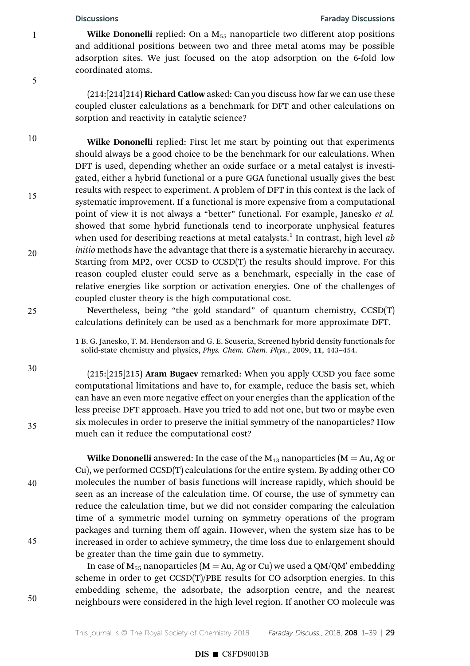5

10

15

20

25

30

35

40

45

50

### Discussions Faraday Discussions

Wilke Dononelli replied: On a  $M_{55}$  nanoparticle two different atop positions and additional positions between two and three metal atoms may be possible adsorption sites. We just focused on the atop adsorption on the 6-fold low coordinated atoms.

(214:[214]214) Richard Catlow asked: Can you discuss how far we can use these coupled cluster calculations as a benchmark for DFT and other calculations on sorption and reactivity in catalytic science?

Wilke Dononelli replied: First let me start by pointing out that experiments should always be a good choice to be the benchmark for our calculations. When DFT is used, depending whether an oxide surface or a metal catalyst is investigated, either a hybrid functional or a pure GGA functional usually gives the best results with respect to experiment. A problem of DFT in this context is the lack of systematic improvement. If a functional is more expensive from a computational point of view it is not always a "better" functional. For example, Janesko et al. showed that some hybrid functionals tend to incorporate unphysical features when used for describing reactions at metal catalysts.<sup>1</sup> In contrast, high level  $ab$ initio methods have the advantage that there is a systematic hierarchy in accuracy. Starting from MP2, over CCSD to CCSD(T) the results should improve. For this reason coupled cluster could serve as a benchmark, especially in the case of relative energies like sorption or activation energies. One of the challenges of coupled cluster theory is the high computational cost.

Nevertheless, being "the gold standard" of quantum chemistry, CCSD(T) calculations definitely can be used as a benchmark for more approximate DFT.

1 B. G. Janesko, T. M. Henderson and G. E. Scuseria, Screened hybrid density functionals for solid-state chemistry and physics, Phys. Chem. Chem. Phys., 2009, 11, 443–454.

 $(215:[215]215)$  Aram Bugaev remarked: When you apply CCSD you face some computational limitations and have to, for example, reduce the basis set, which can have an even more negative effect on your energies than the application of the less precise DFT approach. Have you tried to add not one, but two or maybe even six molecules in order to preserve the initial symmetry of the nanoparticles? How much can it reduce the computational cost?

Wilke Dononelli answered: In the case of the  $M_{13}$  nanoparticles (M = Au, Ag or Cu), we performed CCSD(T) calculations for the entire system. By adding other CO molecules the number of basis functions will increase rapidly, which should be seen as an increase of the calculation time. Of course, the use of symmetry can reduce the calculation time, but we did not consider comparing the calculation time of a symmetric model turning on symmetry operations of the program packages and turning them off again. However, when the system size has to be increased in order to achieve symmetry, the time loss due to enlargement should be greater than the time gain due to symmetry.

In case of  $M_{55}$  nanoparticles (M  $=$  Au, Ag or Cu) we used a QM/QM $^\prime$  embedding scheme in order to get CCSD(T)/PBE results for CO adsorption energies. In this embedding scheme, the adsorbate, the adsorption centre, and the nearest neighbours were considered in the high level region. If another CO molecule was

This journal is  $\circ$  The Royal Society of Chemistry 2018 Faraday Discuss., 2018, 208, 1–39 | 29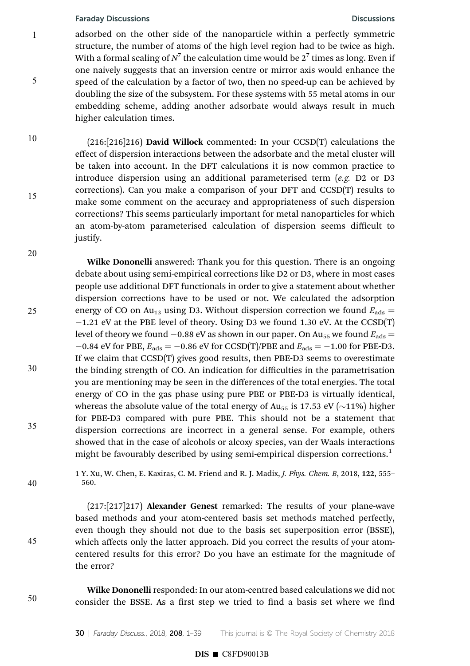1

5

10

15

20

adsorbed on the other side of the nanoparticle within a perfectly symmetric structure, the number of atoms of the high level region had to be twice as high. With a formal scaling of  $N^7$  the calculation time would be  $2^7$  times as long. Even if one naively suggests that an inversion centre or mirror axis would enhance the speed of the calculation by a factor of two, then no speed-up can be achieved by doubling the size of the subsystem. For these systems with 55 metal atoms in our embedding scheme, adding another adsorbate would always result in much higher calculation times.

 $(216:[216]216)$  David Willock commented: In your CCSD(T) calculations the effect of dispersion interactions between the adsorbate and the metal cluster will be taken into account. In the DFT calculations it is now common practice to introduce dispersion using an additional parameterised term (e.g. D2 or D3 corrections). Can you make a comparison of your DFT and CCSD(T) results to make some comment on the accuracy and appropriateness of such dispersion corrections? This seems particularly important for metal nanoparticles for which an atom-by-atom parameterised calculation of dispersion seems difficult to justify.

Wilke Dononelli answered: Thank you for this question. There is an ongoing debate about using semi-empirical corrections like D2 or D3, where in most cases people use additional DFT functionals in order to give a statement about whether dispersion corrections have to be used or not. We calculated the adsorption energy of CO on Au<sub>13</sub> using D3. Without dispersion correction we found  $E_{ads}$  =  $-1.21$  eV at the PBE level of theory. Using D3 we found 1.30 eV. At the CCSD(T) level of theory we found  $-0.88$  eV as shown in our paper. On Au<sub>55</sub> we found  $E_{ads}$  =  $-0.84$  eV for PBE,  $E_{ads} = -0.86$  eV for CCSD(T)/PBE and  $E_{ads} = -1.00$  for PBE-D3. If we claim that CCSD(T) gives good results, then PBE-D3 seems to overestimate the binding strength of CO. An indication for difficulties in the parametrisation you are mentioning may be seen in the differences of the total energies. The total energy of CO in the gas phase using pure PBE or PBE-D3 is virtually identical, whereas the absolute value of the total energy of Au<sub>55</sub> is 17.53 eV ( $\sim$ 11%) higher for PBE-D3 compared with pure PBE. This should not be a statement that dispersion corrections are incorrect in a general sense. For example, others showed that in the case of alcohols or alcoxy species, van der Waals interactions might be favourably described by using semi-empirical dispersion corrections.<sup>1</sup> 25 30 35

> 1 Y. Xu, W. Chen, E. Kaxiras, C. M. Friend and R. J. Madix, J. Phys. Chem. B, 2018, 122, 555– 560.

> (217:[217]217) Alexander Genest remarked: The results of your plane-wave based methods and your atom-centered basis set methods matched perfectly, even though they should not due to the basis set superposition error (BSSE), which affects only the latter approach. Did you correct the results of your atomcentered results for this error? Do you have an estimate for the magnitude of the error?

50

40

45

Wilke Dononelli responded: In our atom-centred based calculations we did not consider the BSSE. As a first step we tried to find a basis set where we find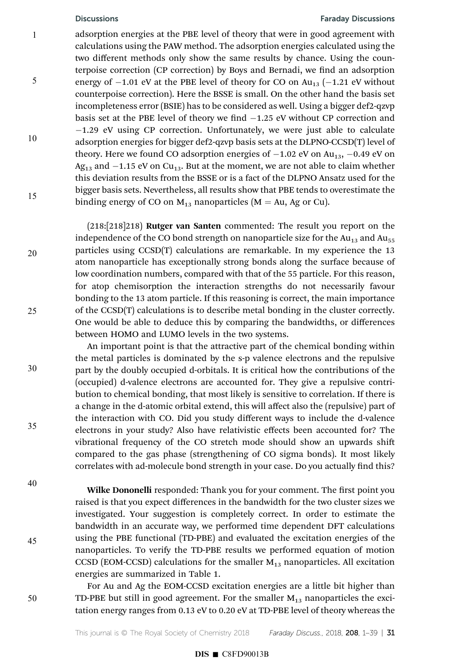5

10

15

20

25

30

### Discussions Faraday Discussions

adsorption energies at the PBE level of theory that were in good agreement with calculations using the PAW method. The adsorption energies calculated using the two different methods only show the same results by chance. Using the counterpoise correction (CP correction) by Boys and Bernadi, we find an adsorption energy of  $-1.01$  eV at the PBE level of theory for CO on  $Au_{13}$  ( $-1.21$  eV without counterpoise correction). Here the BSSE is small. On the other hand the basis set incompleteness error (BSIE) has to be considered as well. Using a bigger def2-qzvp basis set at the PBE level of theory we find  $-1.25$  eV without CP correction and  $-1.29$  eV using CP correction. Unfortunately, we were just able to calculate adsorption energies for bigger def2-qzvp basis sets at the DLPNO-CCSD(T) level of theory. Here we found CO adsorption energies of  $-1.02$  eV on Au<sub>13</sub>,  $-0.49$  eV on Ag<sub>13</sub> and  $-1.15$  eV on Cu<sub>13</sub>. But at the moment, we are not able to claim whether this deviation results from the BSSE or is a fact of the DLPNO Ansatz used for the bigger basis sets. Nevertheless, all results show that PBE tends to overestimate the binding energy of CO on  $M_{13}$  nanoparticles ( $M = Au$ , Ag or Cu).

(218:[218]218) Rutger van Santen commented: The result you report on the independence of the CO bond strength on nanoparticle size for the  $Au_{13}$  and  $Au_{55}$ particles using CCSD(T) calculations are remarkable. In my experience the 13 atom nanoparticle has exceptionally strong bonds along the surface because of low coordination numbers, compared with that of the 55 particle. For this reason, for atop chemisorption the interaction strengths do not necessarily favour bonding to the 13 atom particle. If this reasoning is correct, the main importance of the CCSD(T) calculations is to describe metal bonding in the cluster correctly. One would be able to deduce this by comparing the bandwidths, or differences between HOMO and LUMO levels in the two systems.

An important point is that the attractive part of the chemical bonding within the metal particles is dominated by the s-p valence electrons and the repulsive part by the doubly occupied d-orbitals. It is critical how the contributions of the (occupied) d-valence electrons are accounted for. They give a repulsive contribution to chemical bonding, that most likely is sensitive to correlation. If there is a change in the d-atomic orbital extend, this will affect also the (repulsive) part of the interaction with CO. Did you study different ways to include the d-valence electrons in your study? Also have relativistic effects been accounted for? The vibrational frequency of the CO stretch mode should show an upwards shi compared to the gas phase (strengthening of CO sigma bonds). It most likely correlates with ad-molecule bond strength in your case. Do you actually find this?

40

35

45

50

Wilke Dononelli responded: Thank you for your comment. The first point you raised is that you expect differences in the bandwidth for the two cluster sizes we investigated. Your suggestion is completely correct. In order to estimate the bandwidth in an accurate way, we performed time dependent DFT calculations using the PBE functional (TD-PBE) and evaluated the excitation energies of the nanoparticles. To verify the TD-PBE results we performed equation of motion CCSD (EOM-CCSD) calculations for the smaller  $M_{13}$  nanoparticles. All excitation energies are summarized in Table 1.

For Au and Ag the EOM-CCSD excitation energies are a little bit higher than TD-PBE but still in good agreement. For the smaller  $M_{13}$  nanoparticles the excitation energy ranges from 0.13 eV to 0.20 eV at TD-PBE level of theory whereas the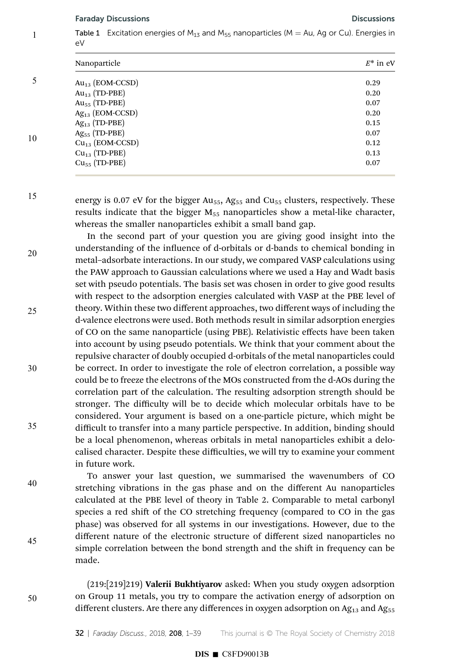Table 1 Excitation energies of  $M_{13}$  and  $M_{55}$  nanoparticles (M = Au, Ag or Cu). Energies in eV 1

|    | Nanoparticle              | $E^*$ in eV |
|----|---------------------------|-------------|
|    | $Au_{13}$ (EOM-CCSD)      | 0.29        |
| 10 | $Au_{13}$ (TD-PBE)        | 0.20        |
|    | Au <sub>55</sub> (TD-PBE) | 0.07        |
|    | $Ag_{13}$ (EOM-CCSD)      | 0.20        |
|    | $Ag_{13}$ (TD-PBE)        | 0.15        |
|    | $Ag_{55}$ (TD-PBE)        | 0.07        |
|    | $Cu13$ (EOM-CCSD)         | 0.12        |
|    | $Cu_{13}$ (TD-PBE)        | 0.13        |
|    | $Cu55$ (TD-PBE)           | 0.07        |
|    |                           |             |

15

energy is 0.07 eV for the bigger  $Au_{55}$ ,  $Ag_{55}$  and  $Cu_{55}$  clusters, respectively. These results indicate that the bigger  $M_{55}$  nanoparticles show a metal-like character, whereas the smaller nanoparticles exhibit a small band gap.

In the second part of your question you are giving good insight into the understanding of the influence of d-orbitals or d-bands to chemical bonding in metal–adsorbate interactions. In our study, we compared VASP calculations using the PAW approach to Gaussian calculations where we used a Hay and Wadt basis set with pseudo potentials. The basis set was chosen in order to give good results with respect to the adsorption energies calculated with VASP at the PBE level of theory. Within these two different approaches, two different ways of including the d-valence electrons were used. Both methods result in similar adsorption energies of CO on the same nanoparticle (using PBE). Relativistic effects have been taken into account by using pseudo potentials. We think that your comment about the repulsive character of doubly occupied d-orbitals of the metal nanoparticles could be correct. In order to investigate the role of electron correlation, a possible way could be to freeze the electrons of the MOs constructed from the d-AOs during the correlation part of the calculation. The resulting adsorption strength should be stronger. The difficulty will be to decide which molecular orbitals have to be considered. Your argument is based on a one-particle picture, which might be difficult to transfer into a many particle perspective. In addition, binding should be a local phenomenon, whereas orbitals in metal nanoparticles exhibit a delocalised character. Despite these difficulties, we will try to examine your comment in future work. 20 25 30 35

To answer your last question, we summarised the wavenumbers of CO stretching vibrations in the gas phase and on the different Au nanoparticles calculated at the PBE level of theory in Table 2. Comparable to metal carbonyl species a red shift of the CO stretching frequency (compared to CO in the gas phase) was observed for all systems in our investigations. However, due to the different nature of the electronic structure of different sized nanoparticles no simple correlation between the bond strength and the shift in frequency can be made.

50

40

45

(219:[219]219) Valerii Bukhtiyarov asked: When you study oxygen adsorption on Group 11 metals, you try to compare the activation energy of adsorption on different clusters. Are there any differences in oxygen adsorption on  $Ag_{13}$  and  $Ag_{55}$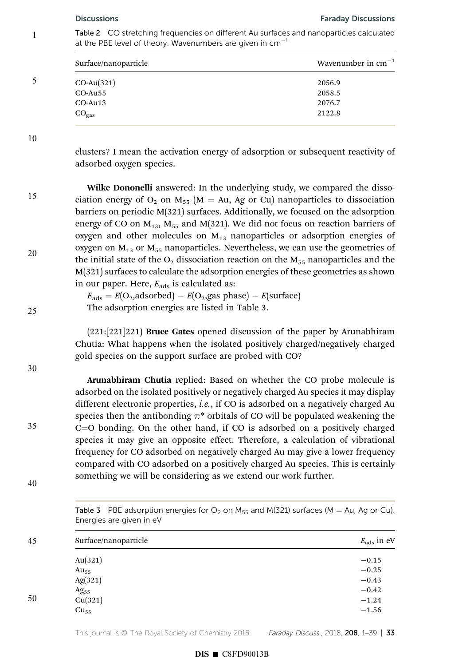Table 2 CO stretching frequencies on different Au surfaces and nanoparticles calculated at the PBE level of theory. Wavenumbers are given in  $cm^{-1}$ 1

|   | Surface/nanoparticle | Wavenumber in $cm^{-1}$ |
|---|----------------------|-------------------------|
| 5 | $CO-Au(321)$         | 2056.9                  |
|   | CO-Au55              | 2058.5                  |
|   | $CO$ -Au $13$        | 2076.7                  |
|   | $CO_{gas}$           | 2122.8                  |
|   |                      |                         |

10

25

30

35

clusters? I mean the activation energy of adsorption or subsequent reactivity of adsorbed oxygen species.

Wilke Dononelli answered: In the underlying study, we compared the dissociation energy of  $O_2$  on  $M_{55}$  (M = Au, Ag or Cu) nanoparticles to dissociation barriers on periodic M(321) surfaces. Additionally, we focused on the adsorption energy of CO on  $M_{13}$ ,  $M_{55}$  and M(321). We did not focus on reaction barriers of oxygen and other molecules on  $M<sub>13</sub>$  nanoparticles or adsorption energies of oxygen on  $M_{13}$  or  $M_{55}$  nanoparticles. Nevertheless, we can use the geometries of the initial state of the  $O_2$  dissociation reaction on the  $M_{55}$  nanoparticles and the M(321) surfaces to calculate the adsorption energies of these geometries as shown in our paper. Here,  $E_{\text{ads}}$  is calculated as: 15 20

> $E_{ads} = E(O_2,adsorbed) - E(O_2,gas phase) - E(surface)$ The adsorption energies are listed in Table 3.

(221:[221]221) Bruce Gates opened discussion of the paper by Arunabhiram Chutia: What happens when the isolated positively charged/negatively charged gold species on the support surface are probed with CO?

Arunabhiram Chutia replied: Based on whether the CO probe molecule is adsorbed on the isolated positively or negatively charged Au species it may display different electronic properties, *i.e.*, if CO is adsorbed on a negatively charged Au species then the antibonding  $\pi^*$  orbitals of CO will be populated weakening the  $C=O$  bonding. On the other hand, if  $CO$  is adsorbed on a positively charged species it may give an opposite effect. Therefore, a calculation of vibrational frequency for CO adsorbed on negatively charged Au may give a lower frequency compared with CO adsorbed on a positively charged Au species. This is certainly something we will be considering as we extend our work further.

Table 3 PBE adsorption energies for  $O_2$  on  $M_{55}$  and M(321) surfaces (M = Au, Ag or Cu). Energies are given in eV

| 45 | Surface/nanoparticle | $E_{\text{ads}}$ in eV |
|----|----------------------|------------------------|
|    | Au $(321)$           | $-0.15$                |
|    | $Au_{55}$            | $-0.25$                |
|    | Ag(321)              | $-0.43$                |
|    | $Ag_{55}$            | $-0.42$                |
| 50 | Cu(321)              | $-1.24$                |
|    | Cu <sub>55</sub>     | $-1.56$                |
|    |                      |                        |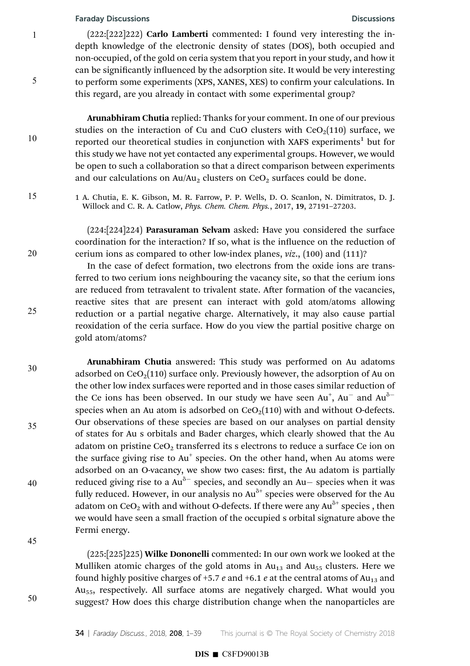1

5

10

15

20

25

30

35

40

45

50

 $(222:[222]222)$  Carlo Lamberti commented: I found very interesting the indepth knowledge of the electronic density of states (DOS), both occupied and non-occupied, of the gold on ceria system that you report in your study, and how it can be significantly influenced by the adsorption site. It would be very interesting to perform some experiments (XPS, XANES, XES) to confirm your calculations. In this regard, are you already in contact with some experimental group?

Arunabhiram Chutia replied: Thanks for your comment. In one of our previous studies on the interaction of Cu and CuO clusters with  $CeO<sub>2</sub>(110)$  surface, we reported our theoretical studies in conjunction with XAFS experiments<sup>1</sup> but for this study we have not yet contacted any experimental groups. However, we would be open to such a collaboration so that a direct comparison between experiments and our calculations on  $Au/Au_2$  clusters on  $CeO<sub>2</sub>$  surfaces could be done.

1 A. Chutia, E. K. Gibson, M. R. Farrow, P. P. Wells, D. O. Scanlon, N. Dimitratos, D. J. Willock and C. R. A. Catlow, Phys. Chem. Chem. Phys., 2017, 19, 27191–27203.

(224:[224]224) Parasuraman Selvam asked: Have you considered the surface coordination for the interaction? If so, what is the influence on the reduction of cerium ions as compared to other low-index planes, viz., (100) and (111)?

In the case of defect formation, two electrons from the oxide ions are transferred to two cerium ions neighbouring the vacancy site, so that the cerium ions are reduced from tetravalent to trivalent state. After formation of the vacancies, reactive sites that are present can interact with gold atom/atoms allowing reduction or a partial negative charge. Alternatively, it may also cause partial reoxidation of the ceria surface. How do you view the partial positive charge on gold atom/atoms?

Arunabhiram Chutia answered: This study was performed on Au adatoms adsorbed on  $CeO<sub>2</sub>(110)$  surface only. Previously however, the adsorption of Au on the other low index surfaces were reported and in those cases similar reduction of the Ce ions has been observed. In our study we have seen  $Au^+$ ,  $Au^-$  and  $Au^{\delta-}$ species when an Au atom is adsorbed on  $CeO<sub>2</sub>(110)$  with and without O-defects. Our observations of these species are based on our analyses on partial density of states for Au s orbitals and Bader charges, which clearly showed that the Au adatom on pristine  $CeO<sub>2</sub>$  transferred its s electrons to reduce a surface Ce ion on the surface giving rise to Au<sup>+</sup> species. On the other hand, when Au atoms were adsorbed on an O-vacancy, we show two cases: first, the Au adatom is partially reduced giving rise to a  $Au^{\delta-}$  species, and secondly an Au- species when it was fully reduced. However, in our analysis no  $Au^{\delta+}$  species were observed for the Au adatom on CeO $_2$  with and without O-defects. If there were any Au $^{\delta+}$  species , then we would have seen a small fraction of the occupied s orbital signature above the Fermi energy.

(225:[225]225) Wilke Dononelli commented: In our own work we looked at the Mulliken atomic charges of the gold atoms in  $Au_{13}$  and  $Au_{55}$  clusters. Here we found highly positive charges of +5.7 e and +6.1 e at the central atoms of  $Au_{13}$  and Au<sub>55</sub>, respectively. All surface atoms are negatively charged. What would you suggest? How does this charge distribution change when the nanoparticles are

# $DIS \blacksquare$  C8FD90013B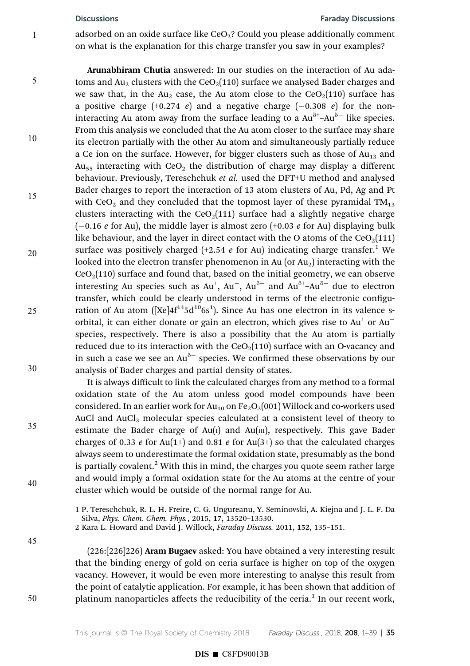### Discussions Faraday Discussions

adsorbed on an oxide surface like  $CeO<sub>2</sub>$ ? Could you please additionally comment on what is the explanation for this charge transfer you saw in your examples?

Arunabhiram Chutia answered: In our studies on the interaction of Au adatoms and Au<sub>2</sub> clusters with the CeO<sub>2</sub>(110) surface we analysed Bader charges and we saw that, in the Au<sub>2</sub> case, the Au atom close to the  $CeO<sub>2</sub>(110)$  surface has a positive charge  $(+0.274 \text{ } e)$  and a negative charge  $(-0.308 \text{ } e)$  for the noninteracting Au atom away from the surface leading to a  $Au^{\delta+}Au^{\delta-}$  like species. From this analysis we concluded that the Au atom closer to the surface may share its electron partially with the other Au atom and simultaneously partially reduce a Ce ion on the surface. However, for bigger clusters such as those of  $Au_{13}$  and  $Au_{55}$  interacting with  $CeO<sub>2</sub>$  the distribution of charge may display a different behaviour. Previously, Tereschchuk et al. used the DFT+U method and analysed Bader charges to report the interaction of 13 atom clusters of Au, Pd, Ag and Pt with CeO<sub>2</sub> and they concluded that the topmost layer of these pyramidal  $TM_{13}$ clusters interacting with the  $CeO<sub>2</sub>(111)$  surface had a slightly negative charge  $(-0.16 \text{ } e \text{ for Au})$ , the middle layer is almost zero  $(+0.03 \text{ } e \text{ for Au})$  displaying bulk like behaviour, and the layer in direct contact with the O atoms of the  $CeO<sub>2</sub>(111)$ surface was positively charged  $(+2.54$  e for Au) indicating charge transfer.<sup>1</sup> We looked into the electron transfer phenomenon in Au (or  $Au<sub>2</sub>$ ) interacting with the  $CeO<sub>2</sub>(110)$  surface and found that, based on the initial geometry, we can observe interesting Au species such as  $Au^{+}$ ,  $Au^{-}$ ,  $Au^{\delta-}$  and  $Au^{\delta+}$ - $Au^{\delta-}$  due to electron transfer, which could be clearly understood in terms of the electronic configuration of Au atom ( $[Xe]4f^{14}5d^{10}6s^1$ ). Since Au has one electron in its valence sorbital, it can either donate or gain an electron, which gives rise to  $Au<sup>+</sup>$  or  $Au$ species, respectively. There is also a possibility that the Au atom is partially reduced due to its interaction with the  $CeO<sub>2</sub>(110)$  surface with an O-vacancy and in such a case we see an  $Au^{\delta-}$  species. We confirmed these observations by our analysis of Bader charges and partial density of states. 5 10 15 20 25 30

> It is always difficult to link the calculated charges from any method to a formal oxidation state of the Au atom unless good model compounds have been considered. In an earlier work for  $Au_{10}$  on Fe<sub>2</sub>O<sub>3</sub>(001) Willock and co-workers used AuCl and AuCl<sub>3</sub> molecular species calculated at a consistent level of theory to estimate the Bader charge of  $Au(I)$  and  $Au(III)$ , respectively. This gave Bader charges of 0.33 e for Au(1+) and 0.81 e for Au(3+) so that the calculated charges always seem to underestimate the formal oxidation state, presumably as the bond is partially covalent.<sup>2</sup> With this in mind, the charges you quote seem rather large and would imply a formal oxidation state for the Au atoms at the centre of your cluster which would be outside of the normal range for Au.

1 P. Tereschchuk, R. L. H. Freire, C. G. Ungureanu, Y. Seminovski, A. Kiejna and J. L. F. Da Silva, Phys. Chem. Chem. Phys., 2015, 17, 13520–13530. 2 Kara L. Howard and David J. Willock, Faraday Discuss. 2011, 152, 135–151.

(226:[226]226) Aram Bugaev asked: You have obtained a very interesting result that the binding energy of gold on ceria surface is higher on top of the oxygen vacancy. However, it would be even more interesting to analyse this result from the point of catalytic application. For example, it has been shown that addition of platinum nanoparticles affects the reducibility of the ceria.<sup>1</sup> In our recent work,

35

40

45

50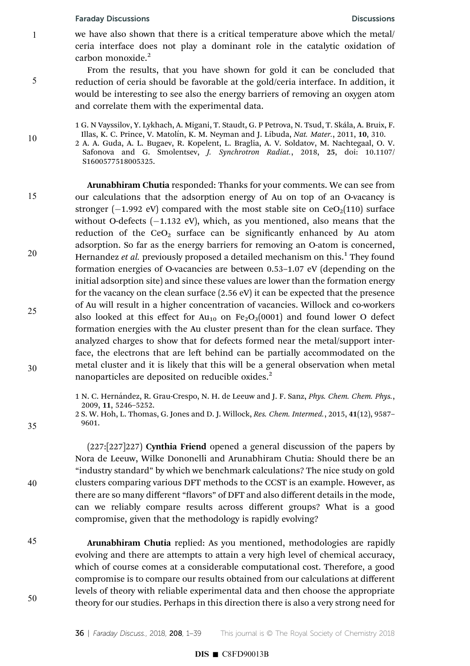1

5

10

we have also shown that there is a critical temperature above which the metal/ ceria interface does not play a dominant role in the catalytic oxidation of carbon monoxide.<sup>2</sup>

From the results, that you have shown for gold it can be concluded that reduction of ceria should be favorable at the gold/ceria interface. In addition, it would be interesting to see also the energy barriers of removing an oxygen atom and correlate them with the experimental data.

1 G. N Vayssilov, Y. Lykhach, A. Migani, T. Staudt, G. P Petrova, N. Tsud, T. Skála, A. Bruix, F. Illas, K. C. Prince, V. Matolín, K. M. Neyman and J. Libuda, Nat. Mater., 2011, 10, 310.

2 A. A. Guda, A. L. Bugaev, R. Kopelent, L. Braglia, A. V. Soldatov, M. Nachtegaal, O. V. Safonova and G. Smolentsev, J. Synchrotron Radiat., 2018, 25, doi: 10.1107/ S1600577518005325.

Arunabhiram Chutia responded: Thanks for your comments. We can see from our calculations that the adsorption energy of Au on top of an O-vacancy is stronger ( $-1.992$  eV) compared with the most stable site on CeO<sub>2</sub>(110) surface without O-defects  $(-1.132 \text{ eV})$ , which, as you mentioned, also means that the reduction of the  $CeO<sub>2</sub>$  surface can be significantly enhanced by Au atom adsorption. So far as the energy barriers for removing an O-atom is concerned, Hernandez et al. previously proposed a detailed mechanism on this.<sup>1</sup> They found formation energies of O-vacancies are between 0.53–1.07 eV (depending on the initial adsorption site) and since these values are lower than the formation energy for the vacancy on the clean surface (2.56 eV) it can be expected that the presence of Au will result in a higher concentration of vacancies. Willock and co-workers also looked at this effect for  $Au_{10}$  on  $Fe<sub>2</sub>O<sub>3</sub>(0001)$  and found lower O defect formation energies with the Au cluster present than for the clean surface. They analyzed charges to show that for defects formed near the metal/support interface, the electrons that are left behind can be partially accommodated on the metal cluster and it is likely that this will be a general observation when metal nanoparticles are deposited on reducible oxides.<sup>2</sup> 15 20 25 30

> 1 N. C. Hernández, R. Grau-Crespo, N. H. de Leeuw and J. F. Sanz, *Phys. Chem. Chem. Phys.*, 2009, 11, 5246–5252.

(227:[227]227) Cynthia Friend opened a general discussion of the papers by Nora de Leeuw, Wilke Dononelli and Arunabhiram Chutia: Should there be an "industry standard" by which we benchmark calculations? The nice study on gold clusters comparing various DFT methods to the CCST is an example. However, as there are so many different "flavors" of DFT and also different details in the mode, can we reliably compare results across different groups? What is a good compromise, given that the methodology is rapidly evolving?

45

50

35

40

Arunabhiram Chutia replied: As you mentioned, methodologies are rapidly evolving and there are attempts to attain a very high level of chemical accuracy, which of course comes at a considerable computational cost. Therefore, a good compromise is to compare our results obtained from our calculations at different levels of theory with reliable experimental data and then choose the appropriate theory for our studies. Perhaps in this direction there is also a very strong need for

# $DIS \blacksquare$  C8FD90013B

<sup>2</sup> S. W. Hoh, L. Thomas, G. Jones and D. J. Willock, Res. Chem. Intermed., 2015, 41(12), 9587– 9601.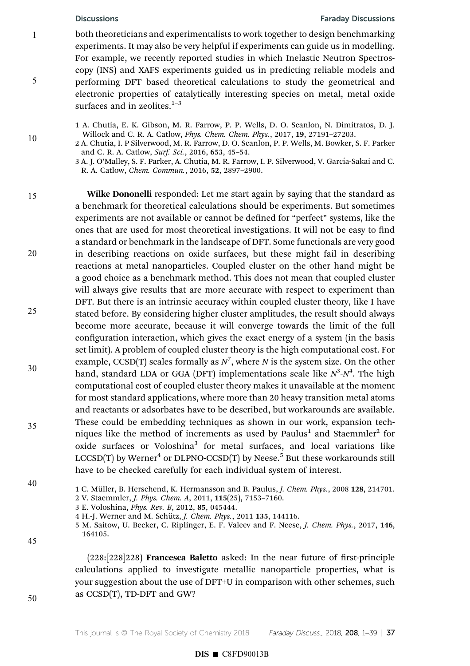5

10

## Discussions Faraday Discussions

both theoreticians and experimentalists to work together to design benchmarking experiments. It may also be very helpful if experiments can guide us in modelling. For example, we recently reported studies in which Inelastic Neutron Spectroscopy (INS) and XAFS experiments guided us in predicting reliable models and performing DFT based theoretical calculations to study the geometrical and electronic properties of catalytically interesting species on metal, metal oxide surfaces and in zeolites. $1-3$ 

1 A. Chutia, E. K. Gibson, M. R. Farrow, P. P. Wells, D. O. Scanlon, N. Dimitratos, D. J. Willock and C. R. A. Catlow, Phys. Chem. Chem. Phys., 2017, 19, 27191–27203.

2 A. Chutia, I. P Silverwood, M. R. Farrow, D. O. Scanlon, P. P. Wells, M. Bowker, S. F. Parker and C. R. A. Catlow, Surf. Sci., 2016, 653, 45–54.

3 A. J. O'Malley, S. F. Parker, A. Chutia, M. R. Farrow, I. P. Silverwood, V. García-Sakai and C. R. A. Catlow, Chem. Commun., 2016, 52, 2897–2900.

Wilke Dononelli responded: Let me start again by saying that the standard as a benchmark for theoretical calculations should be experiments. But sometimes experiments are not available or cannot be defined for "perfect" systems, like the ones that are used for most theoretical investigations. It will not be easy to find a standard or benchmark in the landscape of DFT. Some functionals are very good in describing reactions on oxide surfaces, but these might fail in describing reactions at metal nanoparticles. Coupled cluster on the other hand might be a good choice as a benchmark method. This does not mean that coupled cluster will always give results that are more accurate with respect to experiment than DFT. But there is an intrinsic accuracy within coupled cluster theory, like I have stated before. By considering higher cluster amplitudes, the result should always become more accurate, because it will converge towards the limit of the full configuration interaction, which gives the exact energy of a system (in the basis set limit). A problem of coupled cluster theory is the high computational cost. For example, CCSD(T) scales formally as  $N^7$ , where N is the system size. On the other hand, standard LDA or GGA (DFT) implementations scale like  $N^3$ - $N^4$ . The high computational cost of coupled cluster theory makes it unavailable at the moment for most standard applications, where more than 20 heavy transition metal atoms and reactants or adsorbates have to be described, but workarounds are available. These could be embedding techniques as shown in our work, expansion techniques like the method of increments as used by Paulus<sup>1</sup> and Staemmler<sup>2</sup> for oxide surfaces or Voloshina<sup>3</sup> for metal surfaces, and local variations like  $\textup{LCCSD}(T)$  by Werner $^4$  or DLPNO-CCSD $(T)$  by Neese.<sup>5</sup> But these workarounds still have to be checked carefully for each individual system of interest. 15 20 25 30 35

40

1 C. Müller, B. Herschend, K. Hermansson and B. Paulus, J. Chem. Phys., 2008 128, 214701. 2 V. Staemmler, J. Phys. Chem. A, 2011, 115(25), 7153–7160.

4 H.-J. Werner and M. Schütz, *J. Chem. Phys.*, 2011 135, 144116.

45

 $(228:[228]228)$  Francesca Baletto asked: In the near future of first-principle calculations applied to investigate metallic nanoparticle properties, what is your suggestion about the use of DFT+U in comparison with other schemes, such as CCSD(T), TD-DFT and GW?

50

<sup>3</sup> E. Voloshina, Phys. Rev. B, 2012, 85, 045444.

<sup>5</sup> M. Saitow, U. Becker, C. Riplinger, E. F. Valeev and F. Neese, J. Chem. Phys., 2017, 146, 164105.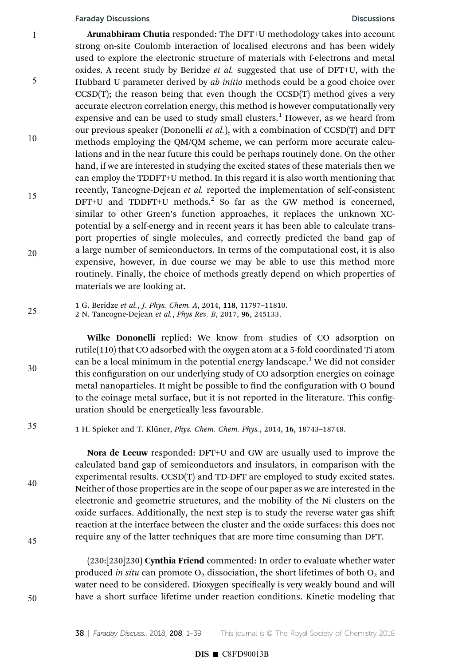Arunabhiram Chutia responded: The DFT+U methodology takes into account strong on-site Coulomb interaction of localised electrons and has been widely used to explore the electronic structure of materials with f-electrons and metal oxides. A recent study by Beridze et al. suggested that use of DFT+U, with the Hubbard U parameter derived by *ab initio* methods could be a good choice over  $CCSD(T)$ ; the reason being that even though the  $CCSD(T)$  method gives a very accurate electron correlation energy, this method is however computationally very expensive and can be used to study small clusters.<sup>1</sup> However, as we heard from our previous speaker (Dononelli *et al.*), with a combination of  $CCSD(T)$  and DFT methods employing the QM/QM scheme, we can perform more accurate calculations and in the near future this could be perhaps routinely done. On the other hand, if we are interested in studying the excited states of these materials then we can employ the TDDFT+U method. In this regard it is also worth mentioning that recently, Tancogne-Dejean et al. reported the implementation of self-consistent DFT+U and TDDFT+U methods.<sup>2</sup> So far as the GW method is concerned, similar to other Green's function approaches, it replaces the unknown XCpotential by a self-energy and in recent years it has been able to calculate transport properties of single molecules, and correctly predicted the band gap of a large number of semiconductors. In terms of the computational cost, it is also expensive, however, in due course we may be able to use this method more routinely. Finally, the choice of methods greatly depend on which properties of materials we are looking at. 1 5 10 15 20

1 G. Beridze et al., J. Phys. Chem. A, 2014, 118, 11797–11810. 25

2 N. Tancogne-Dejean et al., Phys Rev. B, 2017, 96, 245133.

Wilke Dononelli replied: We know from studies of CO adsorption on rutile(110) that CO adsorbed with the oxygen atom at a 5-fold coordinated Ti atom can be a local minimum in the potential energy landscape.<sup>1</sup> We did not consider this configuration on our underlying study of CO adsorption energies on coinage metal nanoparticles. It might be possible to find the configuration with O bound to the coinage metal surface, but it is not reported in the literature. This configuration should be energetically less favourable.

1 H. Spieker and T. Klüner, *Phys. Chem. Chem. Phys.*, 2014, 16, 18743-18748.

Nora de Leeuw responded: DFT+U and GW are usually used to improve the calculated band gap of semiconductors and insulators, in comparison with the experimental results. CCSD(T) and TD-DFT are employed to study excited states. Neither of those properties are in the scope of our paper as we are interested in the electronic and geometric structures, and the mobility of the Ni clusters on the oxide surfaces. Additionally, the next step is to study the reverse water gas shift reaction at the interface between the cluster and the oxide surfaces: this does not require any of the latter techniques that are more time consuming than DFT.

(230:[230]230) Cynthia Friend commented: In order to evaluate whether water produced in situ can promote  $O_2$  dissociation, the short lifetimes of both  $O_2$  and water need to be considered. Dioxygen specifically is very weakly bound and will have a short surface lifetime under reaction conditions. Kinetic modeling that

50

30

35

40

45